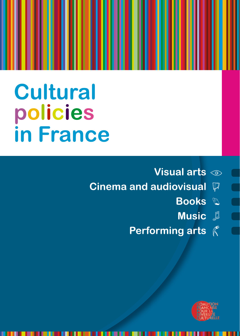# **Cultural** policies in France

- Visual arts  $\textcircled{\tiny{\circ}}$
- **Cinema and audiovisual**  $\mathcal{P}$ 
	- **Books &**
	- **Music** &

 $\blacksquare$ 

Performing arts  $\mathcal K$ 

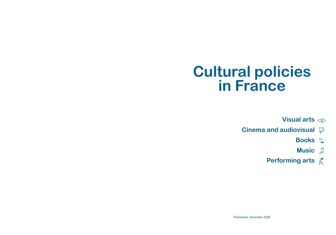# **Cultural policies in France**

**Visual arts**

- **Cinema and audiovisual**
	- **Books**
	- **Music**
	- **Performing arts**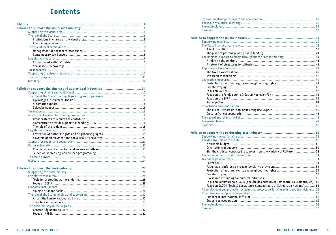### **Contents**

| Glossary | -12 |
|----------|-----|

| A single price for books | າເ |
|--------------------------|----|

| Significant deconcentrated resources from the Ministry of Culture53                                                                                                                                                                        |  |
|--------------------------------------------------------------------------------------------------------------------------------------------------------------------------------------------------------------------------------------------|--|
|                                                                                                                                                                                                                                            |  |
|                                                                                                                                                                                                                                            |  |
|                                                                                                                                                                                                                                            |  |
|                                                                                                                                                                                                                                            |  |
|                                                                                                                                                                                                                                            |  |
|                                                                                                                                                                                                                                            |  |
|                                                                                                                                                                                                                                            |  |
| Focus on Beaumarchais-SACD (Société des Auteurs et Compositeurs Dramatiques)55                                                                                                                                                             |  |
| Focus on SACEM (Société des Auteurs Compositeurs et Éditeurs de Musique) 56                                                                                                                                                                |  |
| An employment and protection system that protects performing artists and technicians 56                                                                                                                                                    |  |
|                                                                                                                                                                                                                                            |  |
|                                                                                                                                                                                                                                            |  |
|                                                                                                                                                                                                                                            |  |
|                                                                                                                                                                                                                                            |  |
| and the contract of the contract of the contract of the contract of the contract of the contract of the contract of the contract of the contract of the contract of the contract of the contract of the contract of the contra<br>Gloecary |  |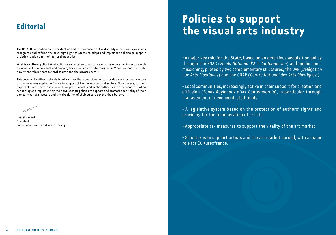### **Editorial**

The UNESCO Convention on the protection and the promotion of the diversity of cultural expressions recognizes and affirms the sovereign right of States to adopt and implement policies to support artistic creation and their cultural industries.

What is a cultural policy? What actions can be taken to nurture and sustain creation in sectors such as visual arts, audiovisual and cinema, books, music or performing arts? What role can the State play? What role is there for civil society and the private sector?

This document neither pretends to fully answer these questions nor to provide an exhaustive inventory of the measures applied in France in support of the various cultural sectors. Nonetheless, it is our hope that it may serve to inspire cultural professionals and public authorities in other countries when conceiving and implementing their own specific policies to support and promote the vitality of their domestic cultural sectors and the circulation of their culture beyond their borders.

Pascal Rogard President French coalition for cultural diversity

# **Policies to support the visual arts industry**

• A major key role for the State, based on an ambitious acquisition policy through the FNAC (*Fonds National d'Art Contemporain*) and public commissioning, piloted by two complementary structures, the DAP (*Délégation aux Arts Plastiques*) and the CNAP (*Centre National des Arts Plastiques* ).

• Local communities, increasingly active in their support for creation and diffusion (*Fonds Régionaux d'Art Contemporain*), in particular through management of deconcentrated funds.

• A legislative system based on the protection of authors' rights and providing for the remuneration of artists.

- Appropriate tax measures to support the vitality of the art market.
- Structures to support artists and the art market abroad, with a major role for Culturesfrance.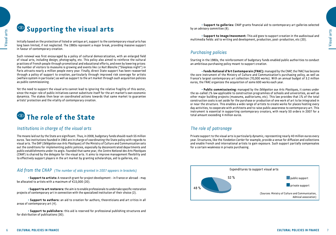### **Supporting the visual arts**

Initially based on the protection of listed or antique art, support to the contemporary visual arts has long been limited, if not neglected. The 1980s represent a major break, providing massive support in favour of contemporary creation.

Such renewal was first encouraged by a policy of cultural democratization, with an enlarged field of visual arts, including design, photography, etc. This policy also aimed to reinforce the cultural practices of French people through promotional and educational efforts, and even by lowering prices: the number of visitors to museums is growing and events like *La Nuit Blanche* ("Sleepless night") in Paris attracts nearly a million people every year. Finally, direct State support has been reasserted through a policy of support to creation, particularly through improved risk coverage for artists (welfare system in particular) as well as support to the art market through such acquisition policies as public commissioning.

Yet the need to support the visual arts cannot lead to ignoring the relative fragility of this sector, since the major role of public initiatives cannot substitute itself for the art market's own economic dynamics. The stakes then bear on coordinated actions towards that same market to guarantee artists' protection and the vitality of contemporary creation.



### *Institutions in charge of the visual arts*

The means laid out by the State are significant. Thus, in 2008, budgetary funds should reach 55 million euros. Two institutions founded in 1982 are in charge of coordinating the State policy with regards to visual arts. The DAP (*Délégation aux Arts Plastiques*) of the Ministry of Culture and Communication sets out the conditions for implementing public policies, especially by deconcentrated departments and public establishments under its aegis. Founded that same year, the *Centre National des Arts Plastiques*  (CNAP) is chaired by the delegate for the visual arts. It aims to improve management flexibility and to effectively support players in the art market by granting scholarships, aid to galleries, etc.

### *Aid from the CNAP (The number of aids granted in 2007 appears in brackets)*

• **Support to artists:** A research grant for project development - in France or abroad - may be allocated to artists with a maximum of €15,000 (20).

• **Support to art restorers:** the aim is to enable professionals to undertake specific restoration projects of contemporary art in connection with the specialized institution of their choice (2).

• **Support to authors:** an aid to creation for authors, theoreticians and art critics in all areas of contemporary art (4).

• **Support to publishers:** this aid is reserved for professional publishing structures and for distribution of publications (30).

• **Support to galleries:** CNAP grants financial aid to contemporary art galleries selected by an advisory committee (8).

• **Support to Image/movement:** This aid goes to support creation in the audiovisual and multimedia fields: aid to writing and development, production, post-production, etc (20).

### *Purchasing policies*

Starting in the 1980s, the reinforcement of budgetary funds enabled public authorities to conduct an ambitious purchasing policy meant to support creation.

**• Fonds National d'Art Contemporain (FNAC):** managed by the CNAP, the FNAC has become the core instrument of the Ministry of Culture and Communication's purchasing policy, as well as France's largest contemporary art collection (70,000 works). With an annual budget of 3.2 million euros, the FNAC organizes the acquisition of some 600 works each year.

• **Public commissioning:** managed by the *Délégation aux Arts Plastiques*, it comes under the so-called 1% law applicable to construction programmes of schools and universities, as well as other major building projects (museums, auditoriums, etc). This law provides that 1% of the total construction costs is set aside for the purchase or production of one work of art to be integrated in or near the structure. This enables a wide range of artists to create works for places hosting every day activities, to cooperate with architects and to raise public awareness to contemporary art. This instrument is essential in supporting contemporary creators, with nearly 50 orders in 2007 for a total amount exceeding 4 million euros.

### *The role of patronage*

Private support to the visual arts is particularly dynamic, representing nearly 40 million euros every year. Structures, like the *Fondation Cartier* for example, provide a venue for diffusion and collections and enable French and international artists to gain exposure. Such support partially compensates for a certain weakness in private purchasing.

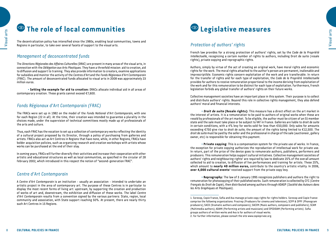### **The role of local communities**

The decentralization policy has intensified since the 1980s, enabling local communities, towns and Regions in particular, to take over several facets of support to the visual arts.

### *Management of deconcentrated funds*

The *Directions Régionales des Affaires Culturelles* (DRAC) are present in many areas of the visual arts, in connection with the *Délégation aux Arts Plastiques*. They have a threefold mission: aid to creation, aid to diffusion and support to training. They also provide information to creators, examine applications for subsidies and monitor the activity of the *Centres d'Art* and the *Fonds Régionaux d'Art Contemporain* (FRAC). The amount of deconcentrated funds allocated to visual arts in 2008 was approximately 23 million euros.

• **Setting the example for aid to creation:** DRACs allocate individual aid in all areas of contemporary creation. These grants cannot exceed €7,600.

### *Fonds Régionaux d'Art Contemporain (FRAC)*

The FRACs were set up in 1982 on the model of the *Fonds National d'Art Contemporain*, with one for each Region (22 in all). At the time, their creation was intended to guarantee a plurality in the choices made, under the supervision of technical committees mostly made up of professionals of the arts and culture.

Thus, each FRAC has the vocation to set up a collection of contemporary works reflecting the identity of a cultural project proposed by its Director, through a policy of purchasing from galleries and artists. FRACs also act as Art Centres in Regions that have none, while, in other Regions, FRACs have bolder acquisition policies, such as organizing research and creation workshops with artists whose works can be purchased at the end of their stay.

In coming years, FRACs will further diversify their activities and increase their cooperation with other artistic and educational structures as well as local communities, as specified in the circular of 28 February 2002, which introduced in this respect the notion of "second-generation FRAC".

### *Centre d'Art Contemporain*

A *Centre d'Art Contemporain* is an institution - usually an association - intended to undertake an artistic project in the area of contemporary art. The purpose of these Centres is in particular to display the most recent forms of living art: upstream, by supporting the creation and production of works of art and, downstream, the exhibition and diffusion of these works. The label *Centre d'Art Contemporain* results from a convention signed by the various partners: State, region, local community and association, with State support reaching 50%. At present, there are nearly thirty such Art Centres in 15 Regions.



### *Protection of authors' rights*

French law provides for a strong protection of authors' rights, set by the *Code de la Propriété Intellectuelle*, recognizing a certain number of rights to authors, including Droit de suite (resale rights), private copying and reprographic rights.

Authors, simply by virtue of the act of creating an original work, have moral rights and economic rights for the work. The moral rights attached to the author's person are permanent, inalienable and imprescriptible. Economic rights concern exploitation of the work and are transferable. In return for the transfer of rights and for each type of exploitation, the *Code de la Propriété Intellectuelle* provides for authors to receive remuneration proportional to the income deriving from exploitation of the work and for this remuneration to be distinct for each type of exploitation. Furthermore, French legislation forbids any global transfer of authors' rights on their future works.

Collective management societies have an important place in this system. Their purpose is to collect and distribute authors' rights. Beyond this role in collective rights management, they also defend authors' moral and financial interests.

• **Droit de suite (Resale rights):** This measure has a direct effect on the art market in the interest of artists. It is a remuneration to be paid to authors of original works when these are resold by professionals of the art market. To be eligible, the author must be citizen of an EU member state and the sale must take place or be subject to VAT in France. Galleries are liable to *droit de suite* in certain conditions, with a 4% levy for works sold for less than €50,000. Only sales for amounts exceeding €750 give rise to *droit de suite*, the amount of the rights being limited to €12,500. The *droit de suite* must be paid by the seller and the professional in charge of the sale (auctioneer, gallery owner, etc) is responsible for obtaining this payment.

• **Private copying:** This is a compensation system for the private use of works. In France, the exception for private copying authorizes the reproduction of intellectual work for private use. In return, part of the price of the device goes to remunerate authors, publishers, performers and producers. This remuneration helps support cultural initiatives. Collective management societies of authors' rights and neighbouring rights<sup>1</sup> are required by law to dedicate 25% of the overall amount collected to aid to creation, to diffusion of live performances and training for artists. These 25%, which amount to **nearly 40 million euros,** contribute to the country's artistic vitality. In 2006, **over 4.000 cultural events<sup>2</sup> received support from the private copy levy.** 

• **Reprography:** The law of 3 January 1995 recognizes publishers and authors the right to remuneration for photocopying of their published works. Such remuneration is collected by CFC (*Centre Français du Droit de Copie*), then distributed among authors through ADAGP (*Société des Auteurs dans les Arts Graphiques et Plastiques*).

<sup>1.</sup> Sorecop, Copie France, Sofia and Ava manage private copy rights for rights holders. Sorecop and Copie France comprise the following organizations: Procirep (Producers for cinema and television); SCPP & SPPF (Phonogram producers); SACD (Dramatic authors and composers); SACEM (Music authors, composers and publishers); SCAM (Multimedia authors); ADAMI (Performing artists and musicians) and SPEDIDAM (Performing artists). Sofia groups authors of written works and Ava is for authors of visual works.

<sup>2.</sup> For further information, please consult the site www.copieprivee.org.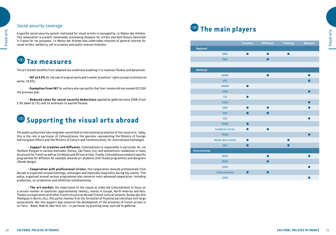### *Social security coverage*

Visual arts

A specific social security system instituted for visual artists is managed by *La Maison des Artistes*. This association is present nationwide, processing dossiers for artists and distributors domiciled in France for tax purposes. *La Maison des Artistes* also undertakes missions of general interest for visual artists: solidarity, aid to creation and public interest missions.

### **Tax measures**

The art market benefits from adapted tax conditions enabling it to maintain fluidity and dynamism.

• **VAT at 5.5%** for the sale of original works and transfer of authors' rights (except architectural works: 19.6%).

• **Exemption from VAT** for authors who can justify that their income did not exceed €37,350 the previous year.

• **Reduced rates for social security deductions** applied by galleries since 2008 (from 3.3% down to 1%) and its extension to auction houses.

## **8** Supporting the visual arts abroad

The public authorities have long been committed to international promotion of the visual arts. Today, this is the role in particular of *Culturesfrance*, the operator representing the Ministry of Foreign and European Affairs and the Ministry of Culture and Communication, for international exchanges.

• **Support to creation and diffusion:** *Culturesfrance* is responsible in particular for *Les Pavillons français* in various biennales (Venice, São Paolo, etc) and subventions residences in many structures for French as well as Caribbean and African artists. Finally, *Culturesfrance* conducts specific programmes for diffusion for example towards art students (*Entr'écoles* programme) and designers (*Monde design*).

• **Cooperation with professional circles:** this cooperation towards professionals from abroad is organized around meetings, exchanges and especially hospitality during key events. This policy, organized around various programmes also concerns more advanced cooperation, including production, co-production and exhibition commissioning .

• **The art market:** the importance of the issues at stake led *Culturesfrance* to focus on a certain number of countries (approximately twenty), mainly in Europe, North America and Asia. Thanks to cooperation with other French structures abroad (French cultural network, *Bureau des Arts Plastiques* in Berlin, etc), this policy involves first the formation of financial partnerships with large corporations. But this support also concerns the development of the presence of French artists in art fairs - Basel, Madrid, New York, etc - in particular by granting lump-sum aid to galleries.

## **The main players**

|                 |                          | Creation  | <b>Diffusion</b> | <b>Training</b> | Network |
|-----------------|--------------------------|-----------|------------------|-----------------|---------|
| Regional        |                          |           |                  |                 |         |
|                 | <b>DRAC</b>              |           |                  |                 |         |
|                 | <b>FRAC</b>              |           |                  |                 |         |
|                 |                          |           |                  |                 |         |
| <b>National</b> |                          |           |                  |                 |         |
|                 | <b>ADAGP</b>             |           |                  |                 |         |
|                 | <b>AFD</b>               |           |                  |                 |         |
|                 | <b>ANDAM</b>             |           |                  |                 |         |
|                 | CAAP                     |           |                  |                 |         |
|                 | <b>CIA</b>               | D         |                  |                 |         |
|                 | <b>CIPAC</b>             |           |                  |                 |         |
|                 | <b>CNAP</b>              | $\bullet$ |                  |                 |         |
|                 | <b>DAP</b>               |           |                  |                 |         |
|                 | <b>DCA</b>               |           |                  |                 |         |
|                 | <b>FNAGP</b>             | ●         |                  |                 |         |
|                 | <b>Fondation Cartier</b> | D         |                  |                 |         |
|                 | <b>FRAAP</b>             |           |                  |                 |         |
|                 | Maison des artistes      |           |                  |                 |         |
|                 | <b>SAIF</b>              |           |                  |                 |         |
| International   |                          |           |                  |                 |         |
|                 | <b>ADIAF</b>             |           |                  |                 |         |
|                 | <b>BDAP</b>              |           |                  |                 |         |
|                 | <b>CISAC</b>             |           |                  |                 |         |
|                 | Culturesfrance           |           |                  |                 |         |
|                 | <b>ICOM</b>              |           |                  |                 |         |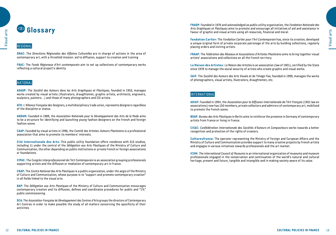## **Glossary**

### *Regional*

Visual arts

**DRAC:** The *Directions Régionales des Affaires Culturelles* are in charge of actions in the area of contemporary art, with a threefold mission: aid to diffusion, support to creation and training

**FRAC:** The *Fonds Régionaux d'Art contemporain* aim to set up collections of contemporary works reflecting a cultural project's identity

### *National*

**ADAGP:** The *Société des Auteurs dans les Arts Graphiques et Plastiques*, founded in 1953, manages works created by visual artists (illustrators, draughtsmen, graphic artists, architects, engravers, sculptors, painters...) and those of many photographers and CGI artists.

**AFD:** *L'Alliance Française des Designers*, a multidisciplinary trade union, represents designers regardless of the discipline or status.

**ANDAM:** Founded in 1989, the *Association Nationale pour le Développement des Arts de la Mode* aims to be a structure for identifying and launching young fashion designers on the French and foreign fashion scene.

**CAAP:** Founded by visual artists in 1996, the *Comité des Artistes-Auteurs Plasticiens* is a professional association that aims to promote its members' interests.

**Cité Internationale des Arts:** This public utility foundation offers residence with 315 studios, including 11 under the control of the *Délégation aux Arts Plastiques* of the Ministry of Culture and Communication, the other depending on public institutions or private French or foreign associations or foundations.

**CIPAC:** The *Congrès Interprofessionnel de l'Art Contemporain* is an association grouping professionals supporting artists and the diffusion or mediation of contemporary art in France.

**CNAP:** The *Centre National des Arts Plastiques* is a public organization, under the aegis of the Ministry of Culture and Communication, whose purpose is to "support and promote contemporary creation" in all fields linked to the visual arts.

**DAP:** The *Délégation aux Arts Plastiques* of the Ministry of Culture and Communication encourages contemporary creation and its diffusion, defines and coordinates procedures for public and "1%" public commissioning.

**DCA:** The *Association Française de Développement des Centres d'Arts* groups the directors of Contemporary Art Centres in order to make possible the study of all matters concerning the specificity of their activities.

**FNAGP:** Founded in 1976 and acknowledged as public utility organization, the *Fondation Nationale des Arts Graphiques et Plastiques* aims to promote and encourage all initiatives of aid and assistance in favour of graphic and visual artists using all resources, financial and moral.

**Fondation Cartier:** The *Fondation Cartier pour l'Art Contemporain* has, since its creation, developed a unique original form of private corporate patronage of the arts by building collections, regularly placing orders and inviting artists.

**FRAAP:** The *Fédération des Réseaux et Associations d'Artistes Plasticiens* aims to bring together visual artists' associations and collectives on all the French territory.

**La Maison des Artistes:** *La Maison des Artistes* is an association (law of 1901), certified by the State since 1978 to manage the social security of artists who create graphic and visual works.

**SAIF:** The *Société des Auteurs des Arts Visuels et de l'Image Fixe*, founded in 1999, manages the works of photographers, visual artists, illustrators, draughtsmen, etc.

#### *International*

**ADIAF:** Founded in 1994, the *Association pour la Diffusion Internationale de l'Art Français* (1901 law on associations) now has 150 members, private collectors and admirers of contemporary art, mobilized to promote the French scene.

**BDAP:** *Bureau des Arts Plastiques* in Berlin aims to reinforce the presence in Germany of contemporary artists from France or living in France.

**CISAC:** *Confédération Internationale des Sociétés d'Auteurs et Compositeurs* works towards a better recognition and protection of the rights of creators.

**Culturesfrance:** The operator representing the Ministry of Foreign and European Affairs and the Ministry of Culture and Communication provides support to many creative projects by French artists and engages in various initiatives towards professionals and the art market.

**ICOM:** *The International Council of Museums* is an international organization of museums and museum professionals engaged in the conservation and continuation of the world's natural and cultural heritage, present and future, tangible and intangible and in making society aware of its value.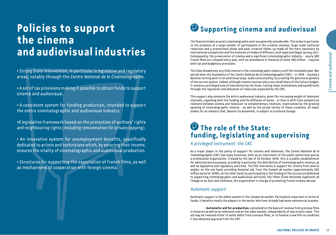# **Policies to support the cinema and audiovisual industries**

• Strong State intervention, in particular in legislative and regulatory areas, notably through the *Centre National de la Cinématographie*.

• A set of tax provisions making it possible to obtain funds to support cinema and audiovisual.

• A consistent system for funding production, intended to support the entire cinematographic and audiovisual industry.

•A legislative framework based on the protection of authors' rights and neighbouring rights (including remuneration for private copying).

• An innovative system for unemployment benefits, specifically dedicated to artists and technicians which, by securing their income, ensures the vitality of cinematographic and audiovisual production.

• Structures for supporting the exportation of French films, as well as mechanisms of cooperation with foreign cinema.

## **<sup>***B***</sup> Supporting cinema and audiovisual**

The financial stakes around a cinematographic work are generally considerable. This is due in particular to the presence of a large number of participants in the creation process, large-scale technical resources and a promotional phase and post-creation follow-up made all the more necessary by international competition and the evolution of modes of diffusion, both legal and illegal (piracy, etc). Consequently, the preservation of cinema and a significant cinematographic industry - nearly 300 French films are released every year, with an attendance in theatres of some 180 million - requires both tax and budgetary provisions.

The State showed only very little interest in the cinematographic industry until the immediate post-War period when the foundation of the *Centre National de la Cinématographie* (CNC) - in 1946 - marked a decisive turning point in an ambitious large-scale cultural policy, by creating the genuine originality of the current system. Indeed, although cinema receives only a very small share of the Culture budget, it remains a privileged area of intervention by the State, tracing major orientations and equilibriums through the regulation and allocation of resources organized by the CNC.

This support also concerns the entire audiovisual industry, given the increasing weight of television channels, regarding both the funding and the diffusion of works - or how to shift from competitive relations between cinema and television to complementary relations, materialized by the growing upswing of cinematographic revenue - as well as the actual variety of these creations, all major stakes for an industry that, despite its dynamism, is subject to profound change.

### **The role of the State: funding, legislating and supervising**

*A privileged instrument: the CNC*

As a major player in the policy of support for cinema and television, the *Centre National de la Cinématographie* (CNC) has many functions, both as an instrument of the public authorities and as a professional organization. Created by the law of 25 October 1946, this is a public establishment for administrative purposes, providing in particular the distribution of cinematographic revenue, as well as legislative and regulatory activities. The CNC intervenes in support for cinema from several angles: on the one hand, providing financial aid, from the *Compte de soutien* (approximately 500 million euros for 2008), on the other hand, by participating in the funding of the structures dedicated to supporting cinematographic and audiovisual activities, like *Fémis* (*École Nationale Supérieure de l'Image et du Son*) and *Unifrance*, the organization in charge of promoting French cinema abroad.

### *Automatic support*

Automatic support is the oldest system in the *Compte de soutien*. Particularly important in terms of funds, it benefits mostly the players in the sector who have already had some commercial success.

• **Automatic aid for production**, calculated on the basis of revenue from previous films in theatres as well as on television and on the video market, independently of any artistic value. This aid may be invested either to settle debts from previous films, or to finance a new film on condition it has obtained approval from the CNC.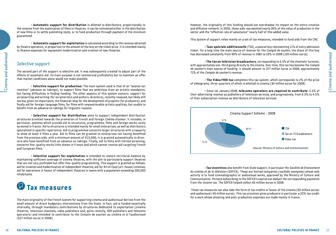Cinema and audiovisual 16Cinema and audiovisual and and audiovisual and audiovisual and audiovisual

• **Automatic support for distribution** is allotted to distributors, proportionally to the revenue from the exploitation of films in theatres. It can be reinvested either in the distribution of new films or to settle publishing costs, or to fund production through payment of the minimum guaranteed.

• **Automatic support for exploitation** is calculated according to the revenue obtained by theatre operators, in proportion to the amount of the levy on the ticket price. It is intended mainly to finance expenses for equipment modernization and creation of new theatres.

### *Selective support*

The second part of the support is selective aid. It was subsequently created to adjust part of the effects of automatic aid. Its main purpose is not commercial profitability but to maintain an offer that market conditions alone would not make possible.

• **Selective support for production:** The main system used is that of an "avance sur recettes" (advance on takings), to support films that are ambitious from an artistic standpoint, but facing difficulties in finding funding. The other aspects of this system concern: support for scriptwriting and writing (for scriptwriters and authors-directors), recently revalued, but likely still too low, given its importance; the financial relay for the development of projects (for producers); and finally aid for foreign-language films, for films with unquestionable artistic qualities, but unable to benefit from an advance on takings for linguistic reasons.

• **Selective support for distribution** aims to support independent distribution structures oriented towards the promotion of French and foreign *Cinéma d'auteur*. It includes, in particular, systems which provide aid to structures, programmes, films and foreign works rarely screened in France. Aid to structures is intended mainly for small enterprises, as well as distributors specialized in specific repertoires. Aid to programmes concerns larger structures with a capacity to show at least 4 films a year. Aid to films can be granted to enterprises not having benefited from the previous aids: with a minimum amount of €15,000, it is granted automatically to directors who have benefited from an advance on takings. Finally, aid to films with limited screening, concerns fine-quality works little shown in France and which cannot receive aid targeting French and European films.

• **Selective support for exploitation** is intended to restore territorial balance by maintaining sufficient coverage of cinema theatres, with the aim to particularly support theatres that are not very profitable but offer fine-quality programming. This support is granted as follows: aid for creation and modernization of independent theatres; aid for *Art et Essai* (art-house) cinemas; aid for operations in favour of independent theatres in towns with a population exceeding 200,000 inhabitants.

## **Tax measures**

The main originality of the French system for supporting cinema and audiovisual derives from the small amount of direct budgetary interventions from the State. In fact, aid is funded essentially internally, through mandatory contributions by structures dedicated to exploitation (cinema theatres, television channels, video publishers and, quite recently, VOD publishers and telecoms operators) and intended to contribute to the Compte de soutien au cinéma et à l'audiovisuel (527 million euros in 2008).

However, the originality of this funding should not overshadow its impact on the entire creation and diffusion network: in 2005, these aids represented nearly 30% of the value of production in the sector and the "effective rate of assistance" nearly half of this added value.

This system of support relies mainly on a set of tax measures, intended to fund aids from the CNC.

• **Taxe spéciale additionnelle** (TSA), a special levy representing 11% of every admission ticket. For a long time the main source of revenue for the *Compte de soutien*, the share of this levy has decreased constantly from 90% of revenue in 1982 to 23% in 2008 (120 million euros).

• **The tax on television broadcasters**, corresponding to 5.5% of the channels' turnover, with approximately one-third going directly to the cinema. Over time, this tax has become the *Compte de soutien*'s main source of funding: it should amount to 377 million euros in 2008, approximately 71% of the *Compte de soutien*'s revenue.

• **The Video/VOD tax** completes this tax system, which corresponds to 2% of the price of videograms, three-quarters of which is allotted to cinema (30 million euros for 2008).

• Since 1st January 2008, **telecoms operators are required to contribute**: 5.5% of their advertising revenue as publishers of television services, and progressively, from 0.5% to 4.5% of their subscription revenue as distributors of television services.



• **Tax incentives** also benefit from State support, in particular the *Sociétés de financement du cinéma et de la télévision* (SOFICA). These are limited companies (*sociétés anonymes*) whose sole activity is to fund cinematographic or audiovisual works, approved by the Ministry of Culture and Communication. Persons subscribing to the SOFICA's capital can deduct the corresponding payments from the income tax. The SOFICA helped collect 65 million euros in 2008.

 These tax measures can also take the form of tax credits in favour of the cinema (50 million euros) and audiovisual (40 million euros). This tax provision gives producers in particular a 20% tax credit for a work whose shooting and post-production expenses are made mostly in France.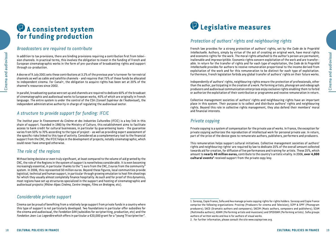### **A consistent system for funding production**

### *Broadcasters are required to contribute*

In addition to tax provisions, there are binding provisions requiring a contribution first from television channels. In practical terms, this involves the obligation to invest in the funding of French and European cinematographic works in the form of pre-purchase of broadcasting rights and support through co-production.

A decree of 9 July 2001 sets these contributions at 3.2% of the previous year's turnover for terrestrial channels as well as cable and satellite channels - and requires that 75% of these funds be allocated to independent cinema. For Canal+, the obligation to acquire rights has been set at 20% of the channel's resources since 2002.

In parallel, broadcasting quotas were set up and channels are required to dedicate 60% of the broadcast of cinematographic and audiovisual works to European works, 40% of which are originally in French language. The entire system is under the control of the CSA (*Conseil Supérieur de l'Audiovisuel*), the independent administrative authority in charge of regulating the audiovisual sector.

### *A structure to provide support for funding: IFCIC*

The *Institut pour le Financement du Cinéma et des Industries Culturelles* (IFCIC) is a key link in this chain of support. Founded in 1983 by the Ministry of Culture, this establishment aims to facilitate access to bank credit for cultural businesses, in particular by guaranteeing loans - the guarantee varies from 50% to 70% according to the type of project - as well as providing expert assessment of the specific risks linked to this type of activity. Considered as a complementary tool to the financial support from the CNC, the IFCIC helps in the development of projects, notably cinematographic, which could never have emerged otherwise.

### *The role of the regions*

Cinema and audiovisual

Without being decisive or even truly significant, at least compared to the volume of aid granted by the CNC, the role of the Regions in the system of support is nonetheless considerable. It is even becoming increasingly essential, in particular thanks to the "1 euro from the CNC, 2 euros from the community" system. In 2006, this represented 50 million euros. Beyond these figures, local communities provide logistical, technical and human support, in particular through growing emulation to host film shootings for which they usually almost completely finance hospitality. As such and for proof of this dynamics, most regions have set up structures specialized in the support and hosting of cinematographic and audiovisual projects (*Rhône-Alpes Cinéma*, *Centre Images*, *Films en Bretagne*, etc).

### *Considerable private support*

Cinema can be proud of benefiting from a relatively large support from private funds in a country where this type of support is not particularly developed. Two foundations in particular offer subsidies for the cinema and audiovisual, the *Fondation GAN* (subsidies for scriptwriting, production, etc) and the *Fondation Jean-Luc Lagardère* which offers in particular a €20,000 grant for a "young TV scriptwriter".

## **Legislative measures**

### *Protection of authors' rights and neighbouring rights*

French law provides for a strong protection of authors' rights, set by the *Code de la Propriété Intellectuelle*. Authors, simply by virtue of the act of creating an original work, have moral rights and economic rights for the work. The moral rights attached to the author's person are permanent, inalienable and imprescriptible. Economic rights concern exploitation of the work and are transferable. In return for the transfer of rights and for each type of exploitation, the *Code de la Propriété Intellectuelle* provides for authors to receive remuneration proportional to the income derived from exploitation of the work and for this remuneration to be distinct for each type of exploitation. Furthermore, French legislation forbids any global transfer of authors' rights on their future works.

Independently of authors' rights, neighbouring rights ensure the protection of professionals, other than the author, participating in the creation of a work. Performing artists, phonogram and videograph producers and audiovisual communication enterprises enjoy exclusive rights enabling them to forbid or authorize the exploitation of their contribution or programme and receive remuneration in return.

Collective management societies of authors' rights and neighbouring rights have an important place in this system. Their purpose is to collect and distribute authors' rights and neighbouring rights. Beyond this role in collective rights management, they also defend their members' moral and financial interests.

### *Private copying*

Private copying is a system of compensation for the private use of works. In France, the exception for private copying authorizes the reproduction of intellectual work for personal private use. In return, part of the price of the device goes to remunerate authors, publishers, performers and producers.

This remuneration helps support cultural initiatives. Collective management societies of authors' rights and neighbouring rights<sup>1</sup> are required by law to dedicate 25% of the overall amount collected towards aid for creation, for diffusion of live performances and training for artists. These 25%, which amount to **nearly 40 million euros,** contribute to the country's artistic vitality. In 2006, **over 4,000 cultural events2** received support from the private copy levy.

<sup>1.</sup> Sorecop, Copie France, Sofia and Ava manage private copying rights for rights holders. Sorecop and Copie France comprise the following organizations: Procirep (Producers for cinema and Television); SCPP & SPPF (Phonogram producers); SACD (Dramatic authors and composers); SACEM (Music authors, composers and publishers); SCAM (Multimedia authors); ADAMI (Performing artists and musicians) and SPEDIDAM (Performing artists). Sofia groups authors of written works and Ava is for authors of visual works.

<sup>2.</sup> For further information, please consult the site www.copieprivee.org.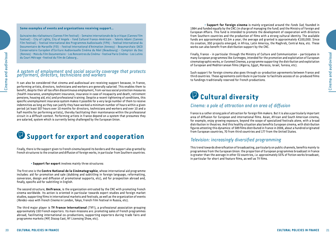#### **Some examples of events and organizations receiving support…**

Quinzaine des réalisateurs (Cannes Film Festival) - Semaine internationale de la critique (Cannes Film Festival) - City of Lights, City of Angels - Fond Culturel Franco-Américain - Talents Adami (Cannes Film Festival) - Festival International des Programmes Audiovisuels (FIPA) - Festival International du Documentaire de Marseille (FID) - Festival International d'Animation (Annecy) - Beaumarchais-SACD Conservatoire Européen d'Ecriture Audiovisuelle Cinéma du Réel (Beaubourg) – Comptoir du Doc (Rennes) – Mois du Film Documentaire – Les Rencontres du Cinéma – Festival Paris Cinéma – Les Lutins du Court Métrage –Festival du Film de Cabourg…

#### *A system of employment and social security coverage that protects performers, directors, technicians and workers*

It can also be considered that cinema and audiovisual are receiving support because, in France, performing artists, directors, technicians and workers are generally salaried. This enables them to benefit, despite their all too often discontinuous employment, from various social protection measures (health insurance, unemployment insurance, insurance in case of incapacity and death, retirement pensions, housing aid, etc) and professional training. Despite a recent tightening of conditions, this specific unemployment insurance system makes it possible for a very large number of them to receive indemnities as long as they can justify they have worked a minimum number of hours within a given period (at least 507 hours over 10 months for directors, technicians and workers and over 10 and a half months for performing artists), thereby facilitating their maintenance within the professional circuit in a difficult context. Performing artists in France depend on a system that presumes they are salaried, system which is currently being challenged by the European Union.

## **<sup>** $\bullet$ **</sup> Support for export and cooperation**

Finally, there is the support given to French cinema beyond its borders and the support also granted by French structures to the creation and diffusion of foreign works, in particular from Southern countries.

• **Support for export** involves mainly three structures:

The first one is the **Centre National de la Cinématographie**, whose international aid programme includes: aid for promotion and sale (dubbing and subtitling in foreign language, reformatting, conversion, design and diffusion of promotional supports, etc), aid for prospection abroad and, finally, specific aid for subtitling in English.

The second structure, **UniFrance**, is the organization entrusted by the CNC with promoting French cinema worldwide. Its action is oriented in particular towards expert studies and foreign market studies, supporting films in international markets and festivals, as well as the organization of events (*Rendez-vous with French Cinema* in London, Tokyo, French Film Festival in Russia, etc).

The third major player is **TV France International** (TVFI), a professional association grouping approximately 150 French exporters. Its main missions are: promoting sales of French programmes abroad, facilitating international co-productions, supporting exporters during trade fairs and programme markets (MIP, Discop East, NY Licensing Show, etc).

• **Support for foreign cinema** is mainly organized around the *Fonds Sud*, founded in 1984 and funded equally by the CNC (in charge of managing the fund) and the Ministry of Foreign and European Affairs. This fund is intended to promote the development of cooperation with directors from Southern countries and the production of films with a strong cultural identity. The available funds are approximately €2.5m a year; the average aid granted is approximately €100,000. Since its creation, 350 projects emerged, in Africa, Latin America, the Maghreb, Central Asia, etc. These works can also benefit from distribution support by the CNC.

Finally, France - in particular through the Ministry of Culture and Communication - participates in many European programmes like *Eurimages*, intended for the promotion and exploitation of European cinematographic works, or *Euromed Cinemas*, a programme supporting the distribution and exploitation of European and Mediterranean films (Algeria, Egypt, Morocco, Israel, Tunisia, etc).

Such support for foreign cinema also goes through co-production agreements between France and third countries. These agreements contribute in particular to facilitate access of co-produced films to fundings traditionally reserved for French productions.

## **Cultural diversity**

### *Cinema: a pole of attraction and an area of diffusion*

France is a rather strong pole of attraction for foreign film makers. But it is also a particularly important area of diffusion for European and international films. Asian, African and South American cinema, for example, enjoy growing exposure, beyond the scope of specialized festivals alone, with a broad distribution in theatres. And this healthy situation also benefits European cinema, with distribution figures attesting this dynamics: of 589 films distributed in France in 2006, about a hundred originated from European countries, 70 from third countries and 177 from the United States.

### *Television: increasingly diversified programming*

This trend towards diversification of broadcasting, particularly on public channels, benefits mainly to programmes from the European Union: the proportion of European programmes broadcast in France is greater than the average in other EU countries, *i.e.* approximately 55% of fiction works broadcast, in particular for short and feature films, as well as TV films.

Cinema and audiovisual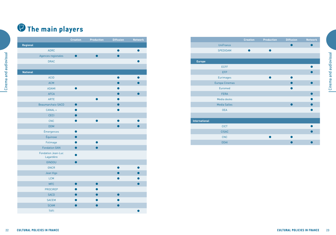# *P* The main players

Cinema and audiovisual

|                 |                                        | <b>Creation</b> | <b>Production</b> | <b>Diffusion</b> | <b>Network</b> |
|-----------------|----------------------------------------|-----------------|-------------------|------------------|----------------|
| <b>Regional</b> |                                        |                 |                   |                  |                |
|                 | <b>ADRC</b>                            |                 |                   |                  |                |
|                 | Agences regionales                     |                 |                   |                  |                |
|                 | <b>DRAC</b>                            |                 |                   |                  |                |
|                 |                                        |                 |                   |                  |                |
| <b>National</b> |                                        |                 |                   |                  |                |
|                 | <b>ACID</b>                            |                 |                   |                  |                |
|                 | <b>ACM</b>                             |                 |                   |                  |                |
|                 | <b>ADAMI</b>                           |                 |                   |                  |                |
|                 | <b>AFCA</b>                            |                 |                   |                  |                |
|                 | <b>ARTE</b>                            |                 |                   |                  |                |
|                 | Beaumarchais-SACD                      | $\bullet$       |                   |                  |                |
|                 | CANAL +                                |                 |                   |                  |                |
|                 | <b>CECI</b>                            | ●               |                   |                  |                |
|                 | CNC                                    |                 |                   |                  |                |
|                 | <b>DDM</b>                             |                 |                   |                  |                |
|                 | Émergences                             | œ               |                   |                  |                |
|                 | Équinoxe                               | $\bullet$       |                   |                  |                |
|                 | Folimage                               |                 |                   |                  |                |
|                 | <b>Fondation GAN</b>                   |                 |                   |                  |                |
|                 | <b>Fondation Jean-Luc</b><br>Lagardère |                 |                   |                  |                |
|                 | GINDOU                                 | D               |                   |                  |                |
|                 | <b>GNCR</b>                            |                 |                   |                  |                |
|                 | Jean Vigo                              |                 |                   |                  |                |
|                 | <b>LCM</b>                             |                 |                   |                  |                |
|                 | <b>MFC</b>                             | ●               | ●                 |                  |                |
|                 | <b>PROCIREP</b>                        |                 |                   |                  |                |
|                 | <b>SACD</b>                            |                 |                   |                  |                |
|                 | <b>SACEM</b>                           |                 |                   |                  |                |
|                 | <b>SCAM</b>                            |                 |                   |                  |                |
|                 | <b>TVFI</b>                            |                 |                   |                  |                |

|                      | <b>Creation</b> | <b>Production</b> | <b>Diffusion</b> | <b>Network</b> |
|----------------------|-----------------|-------------------|------------------|----------------|
| <b>UniFrance</b>     |                 |                   |                  |                |
| SPEDIDAM             |                 |                   |                  |                |
|                      |                 |                   |                  |                |
| <b>Europe</b>        |                 |                   |                  |                |
| <b>ECFF</b>          |                 |                   |                  |                |
| <b>EFP</b>           |                 |                   |                  |                |
| <b>Eurimages</b>     |                 |                   |                  |                |
| Europa Cinemas       |                 |                   |                  |                |
| Euromed              |                 |                   |                  |                |
| <b>FERA</b>          |                 |                   |                  |                |
| Media desks          |                 |                   |                  |                |
| <b>Media Salles</b>  |                 |                   |                  |                |
| <b>OEA</b>           |                 |                   |                  |                |
|                      |                 |                   |                  |                |
| <b>International</b> |                 |                   |                  |                |
| <b>CICT</b>          |                 |                   |                  |                |
| <b>CISAC</b>         |                 |                   |                  |                |
| <b>CNC</b>           |                 |                   |                  |                |
| <b>DDAI</b>          |                 |                   |                  |                |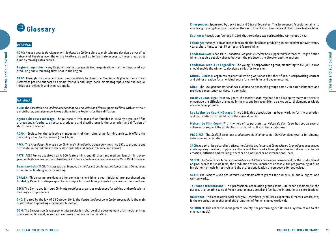# **Glossary**

### *Regional*

Cinema and audiovisual 24 Cinema and audiovisual **ADRC:** *Agence pour le Développement Régional du Cinéma* aims to maintain and develop a diversified network of theatres over the entire territory, as well as to facilitate access to these theatres to films by making extra copies.

**Regional agencies:** Many Regions have set up specialized organizations for the purpose of coproducing and circulating films shot in the Region.

**DRAC:** Through the deconcentrated funds available to them, the *Directions Régionales des Affaires Culturelles* provide support to certain festivals and large-scale cinematographic and audiovisual initiatives regionally and even nationally.

#### *National*

**ACID:** The *Association du Cinéma Indépendant pour sa Diffusion* offers support to films, with or without a distributor, and also undertakes actions in the Regions for their diffusion.

**Agence du court métrage:** The purpose of this association founded in 1983 by a group of film professionals (authors, directors, producers and distributors) is the promotion and diffusion of short films in France.

**ADAMI:** Society for the collective management of the rights of performing artists. It offers the possibility of aid to the cinema (short films).

**AFCA:** The *Association Française du Cinéma d'Animation* has been striving since 1971 to promote and distribute animated films to the widest possible audiences in France and abroad.

**ARTE:** *ARTE France* acquires nearly 100 feature films and 65 short and medium-length films every year, while its co-production subsidiary, *ARTE France Cinéma*, co-produces some 20 to 25 films a year.

**Beaumarchais-SACD:** This association founded by the *Société des Auteurs et Compositeurs Dramatiques* offers in particular grants for writing.

**CANAL+:** This channel provides aid for some ten short films a year, initiated, pre-purchased and funded by Canal+. It also pre-purchases scripts for short films presented by a production structure.

**CECI:** The *Centre des Ecritures Cinématographiques* organizes residences for writing and professional meetings with producers.

**CNC:** Created by the law of 25 October 1946, the *Centre National de la Cinématographie* is the main organisation supporting cinema and television.

**DDM:** The *Direction du Développement des Médias* is in charge of the development of all media: printed press and audiovisual, as well as new forms of online communication.

**Emergences:** Sponsored by Jack Lang and Gérard Depardieu, The *Emergences* Association aims to enable eight young directors to work on their scripts and shoot two scenes of their future feature films.

**Equinoxe:** Association founded in 1993 that organizes two scriptwriting workshops a year.

**Folimage:** *Folimage* is an animated film studio that has been producing animated films for over twenty years: short films, series, TV series and feature films.

**Fondation GAN:** since 1987, *Fondation GAN pour le Cinéma* has supported first feature-length fiction films through a subsidy shared between the producer, the director and the authors.

**Fondation Jean-Luc Lagardère:** The young TV scriptwriter's grant, amounting to €20,000 euros should enable the winner to develop a script for television.

**GINDOU Cinéma:** organizes residential writing workshops for short films, a scriptwriting contest and aid for creation for an original score for short films and documentaries.

**GNCR:** The *Groupement National des Cinémas de Recherche* groups some 250 establishments and provides consultancy services, in particular.

**Institut Jean Vigo:** For many years, the *Institut Jean Vigo* has been developing many activities to encourage the diffusion of cinema in the city and its recognition as a key cultural element, as widely accessible as possible.

**Les Lutins du Court Métrage:** Since 1998, this association has been working for the promotion and distribution of short films to the general public.

**Maison du Film Court:** With the help of its partners, *La Maison du Film Court* has set up several schemes to support the production of short films. It also has a database.

**PROCIREP:** The *Société civile des producteurs de cinéma et de télévision* gives grants for cinema, television and animation.

**SACD:** As part of its cultural initiatives, the *Société des Auteurs et Compositeurs Dramatiques* encourages contemporary creation, supports authors and their works through various initiatives to enhance creation, diffusion and training, whether on a national or an international level.

**SACEM:** The *Société des Auteurs, Compositeurs et Editeurs de Musique* provides aid for the production of original scores for short films, the production of documentaries on music, the programming of films in relation to music in festivals and the professionalization of composers for audiovisual

**SCAM:** The *Société Civile des Auteurs Multimédia* offers grants for audiovisual, audio, digital and written works.

**TV France International:** This professional association groups some 150 French exporters for the purpose of promoting sales of French programmes abroad and facilitating international co-productions.

**UniFrance:** This association, with nearly 600 members (producers, exporters, directors, actors, etc) is the organization in charge of the promotion of French cinema worldwide.

**SPEDIDAM:** This collective management society for performing artists has a system of aid to the cinema (music).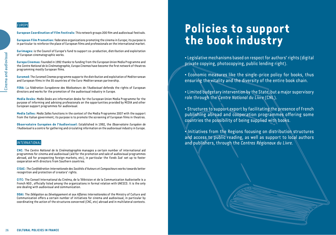### *Europe*

Cinema and audiovisual **26** Cinema and audiovisual **European Coordination of Film Festivals:** This network groups 200 film and audiovisual festivals.

**European Film Promotion:** federates organizations promoting the cinema in Europe; its purpose is in particular to reinforce the place of European films and professionals on the international market.

**Eurimages:** is the Council of Europe's fund to support co-production, distribution and exploitation of European cinematographic works.

**Europa Cinemas:** Founded in 1992 thanks to funding from the European Union Media Programme and the *Centre National de la Cinématographie*, *Europa Cinemas* have become the first network of theatres programming mostly European films.

**Euromed:** The *Euromed Cinemas* programme supports the distribution and exploitation of Mediterranean and European films in the 35 countries of the Euro-Mediterranean partnership.

**FERA:** La *Fédération Européenne des Réalisateurs de l'Audiovisuel* defends the rights of European directors and works for the promotion of the audiovisual industry in Europe.

**Media Desks:** *Media Desks* are information desks for the European Union Media Programme for the purpose of informing and advising professionals on the opportunities provided by MEDIA and other European support programmes for audiovisual.

**Media Salles:** *Media Salles* functions in the context of the Media Programme 2007 with the support from the Italian government; its purpose is to promote the screening of European films in theatres.

**Observatoire Européen de l'Audiovisuel:** Established in 1992, the *Observatoire Européen de l'Audiovisuel* is a centre for gathering and circulating information on the audiovisual industry in Europe.

### *International*

**CNC:** The *Centre National de la Cinématographie* manages a certain number of international aid programmes for cinema and audiovisual (aid for the promotion and sale of audiovisual programmes abroad, aid for prospecting foreign markets, etc), in particular the *Fonds Sud* set up to foster cooperation with directors from Southern countries.

**CISAC:** *The Confédération Internationale des Sociétés d'Auteurs et Compositeurs* works towards better recognition and protection of creators' rights.

**CITC:** The Conseil International du Cinéma, de la Télévision et de la Communication Audioviselle is a French NGO , officially listed among the organizations in formal relation with UNESCO. It is the only one dealing with audiovisual and communication.

**DDAI:** The *Délégation au Développement et aux Affaires Internationales* of the Ministry of Culture and Communication offers a certain number of initiatives for cinema and audiovisual, in particular by coordinating the action of the structures concerned (CNC, etc) abroad and in multilateral contexts.

# **Policies to support the book industry**

• Legislative mechanisms based on respect for authors' rights (digital private copying, photocopying, public lending right).

• Economic measures like the single-price policy for books, thus ensuring the vitality and the diversity of the entire book chain.

• Limited budgetary intervention by the State, but a major supervisory role through the *Centre National du Livre* (CNL).

• Structures to support export by facilitating the presence of French publishing abroad and cooperation programmes offering some countries the possibility of being supplied with books.

• Initiatives from the Regions focusing on distribution structures and access to public reading, as well as support to local authors and publishers, through the *Centres Régionaux du Livre*.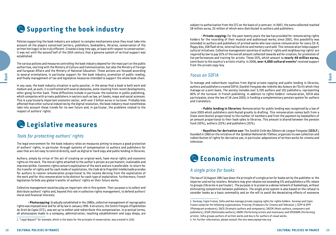## **Supporting the book industry**

Policies supporting the book industry are subject to complex mechanisms since they must take into account all the players concerned (writers, publishers, booksellers, libraries, conservation of the written heritage) to be truly efficient. Created a long time ago, at least with respect to conservation<del>'</del>, it was not until the second half of the 20th century that a genuine system of vertical support was established.

The various policies and measures controlling the book industry depend for the most part on the public authorities, starting with the Ministry of Culture and Communication, but also the Ministry of Foreign and European Affairs and the Ministry of National Education. These actions are focused according to several orientations, in particular support for the book industry, promotion of public reading, and finally management of tax and legislative measures intended to support the whole book chain.

**CULTURAL POLICIES**<br>
CULTURAL POLICIES INTERNATIONAL PROPERTY CONTINUES INTO A CONTINUES INTERNATIONAL POLICIES INTERNATIONAL POLICIES INTERNATIONAL POLICIES INTERNATIONAL POLICIES INTERNATIONAL POLICIES INTERNATIONAL POL In any case, the book industry situation is quite peculiar, in the sense that a book is both work and medium and, as such, it is confronted with several obstacles, some resulting from recent developments, other going further back. These difficulties include in particular the evolution in public publishing, which competes with private publishers in sectors such as law, art books, maps and social sciences. This is a particularly important economic sector, with over 2 billion euros in turnover. Probably less affected than other cultural industries by the digital revolution, the book industry must nonetheless take into account these trends for its own future and, in particular, the problems related to the respect of authors' rights.

## **Legislative measures**

### *Tools for protecting authors' rights*

The legal environment for the book industry relies on measures aiming to ensure a good protection of authors' rights, in particular through systems of compensation to authors and publishers for uses that are not easy to control directly, such as digital or hard copy and public lending in libraries.

Authors, simply by virtue of the act of creating an original work, have moral rights and economic rights on the work. The moral rights attached to the author's person are permanent, inalienable and imprescriptible. Economic rights concern exploitation of the work and are transferable. In return for the transfer of rights and for each mode of exploitation, the *Code de la Propriété Intellectuelle* provides for authors to receive remuneration proportional to the income deriving from the exploitation of the work and for this remuneration to be distinct for each type of exploitation. Furthermore, French legislation forbids any global transfer of authors' rights on their future works.

Collective management societies play an important role in this system. Their purpose is to collect and distribute authors' rights and, beyond this role in collective rights management, to defend authors' moral and financial interests.

• **Photocopying:** Gradually established in the 1980s, collective management of reprographic rights was imposed once and for all by law in January 1995. A structure, the *Centre Français d'Exploitation du Droit de Copie* (CFC), was set up to collect and redistribute this compensation. In practical terms, all photocopies made in a company, administration, teaching establishment and copy shops, are

subject to authorization from the CFC on the basis of a contract. In 2007, the sums collected reached 28 million euros, 25 million of which were distributed to authors and publishers.

• **Private copying:** For the past twenty years the law has provided for remunerating rights holders for the recording of their musical and audiovisual works; since 2001, this possibility was extended to authors and publishers of printed works who now receive remuneration for every CD-R, floppy disc, USB flash drive, external hard drive and memory card sold. This remuneration helps support cultural initiatives. Collective management societies of authors' rights and neighbouring rights $^1$  are required by law to pay 25% of the overall amount collected towards aid for creation, for promotion of live performances and training for artists. These 25%, which amount to **nearly 40 million euros,** contribute to the country's artistic vitality. In 2006, over 4,000 cultural events<sup>2</sup> received support from the private copy levy.

### *Focus on SOFIA*

To manage and redistribute royalties from digital private copying and public lending in libraries, authors and publishers created SOFIA (*Société Française des Intérêts des Auteurs de l'Écrit*) which they manage on a joint basis. The society includes over 5,700 authors and 102 publishers, representing 80% of the turnover in French publishing. In addition to rights holders' remuneration, SOFIA also participates, since the law of 18 June 2003, in funding a complementary pension system for authors and translators.

• **Public lending in libraries:** Remuneration for public lending was recognized by a law of June 2003 which publishers contributed greatly to drafting. This remuneration comes both from a State contribution proportional to the number of members and from the payment by booksellers of an amount proportional to their book sales to libraries. This amount is shared between the pension fund (50%), authors (25%) and publishers (25%).

• **Royalties for derivative use:** The *Société Civile des Éditeurs de Langue Française* (**SCELF**), founded in 1960 on the initiative of the *Syndicat National de l'Édition*, organizes its own collection and redistribution of rights for derivative use, in particular adaptations of written works for cinema and television.

### **Economic instruments**

### *A single price for books*

The law of 10 August 1981 lays down the principle of a single price for books set by the publisher or the importer and not by retailers. Retailers may give rebates not exceeding 5% and publishers a 9% rebate to groups (libraries in particular). The purpose is to preserve a dense network of bookshops, without eliminating competition between publishers. The single price system is also based on the refusal to consider books as a basic commodity and on the will to avoid the devastating effects of excessive

<sup>1. &</sup>quot;Legal deposit" for example, which is the basis for the principle of conservation, was created in 1522.

<sup>1.</sup> Sorecop, Copie France, Sofia and Ava manage private copying rights for rights holders. Sorecop and Copie France comprise the following organizations: Procirep (Producers for Cinema and Television ); SCPP & SPPF (Phonogram producers); SACD (Dramatic authors and composers); SACEM (Music authors, composers and publishers); SCAM (Multimedia authors); ADAMI (Performing artists and musicians) and SPEDIDAM (Performing artists). Sofia groups authors of written works and Ava is for authors of visual works. 2. For further information, please consult the site www.copieprivee.org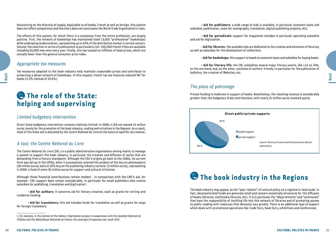• **Aid for literary life:** the CNL subsidizes several major literary events, like *Lire en Fête*, on the one hand, and, on the other, societies of authors' friends, in particular for the publication of bulletins, the creation of Websites, etc.

### *The place of patronage*

40 %

60 %

as well as subsidies for the development of collections.

and aid for digitization.

Private funding is moderate in support of books. Nonetheless, the resulting revenue is considerably greater than the budgetary State contributions, with nearly 21 million euros invested yearly.

association)

• **Aid for publishers:** a wide range of aids is available, in particular economic loans and

• **Aid for periodicals:** support for magazines includes in particular operating subsidies

• **Aid for librarie**s: the available aids are dedicated to the creation and extension of libraries,

• **Aid for bookshops:** this support is based on economic loans and subsidies for buying books.

subsidies (publication, costs for iconography, translation, digital publishing projects, etc).



discounting on the diversity of supply. Applicable to all books, French as well as foreign, this system does not affect competition and therefore does not contravene the World Trade Organisation's rules.

The effects of this system, for which there is a consensus from the entire profession, are largely positive. First, the network of bookshops has maintained itself (3,000 "professional" bookshops) while undergoing modernization, representing up to 40% of the distribution market in certain sectors. Second, the selection in terms of publications is particularly rich: 450,000 French titles are available including 65,000 new ones every year. Finally, this law caused no inflation of book prices, which are actually lower than the general consumer price index.

### *Appropriate tax measures*

Tax measures adapted to the book industry help maintain reasonable prices and contribute to preserving a dense network of bookshops. In this respect, French tax law features reduced VAT for books (5.5% instead of 19.6%).

### **The role of the State: helping and supervising**

### *Limited budgetary intervention*

Direct State budgetary intervention remains relatively limited: in 2008, it did not exceed 14 million euros, mainly for the promotion of the book industry, reading and initiatives in the Regions. As a result, most of the State aid is allocated by the *Centre National du Livre* on the basis of specific tax revenue.

### *A tool: the Centre National du Livre*

The *Centre National du Livre* (CNL) is a public administrative organisation aiming mainly to manage a system to support the book industry, in particular the creation and diffusion of works that are demanding from a literary standpoint. Although the CNL's origins go back to the 1930s, its current form was set up in the 1970s, when it successively received the product of the levy on photocopiers (30 million euros) and a 0.20% levy on the publishing industry turnover (5 million euros), representing in 2008 a fund of some 35 million euros for support and cultural initiatives.

Although these financial contributions remain modest - in comparison with the CNC's aid, for example –CNL support does remain considerable, in particular for small publishers who receive subsidies for publishing, translation and digitization $^1$ .

• **Aid for authors:** it concerns aid for literary creation, such as grants for writing and residence funding.

• **Aid for translators:** this aid includes funds for translation as well as grants for stays for foreign translators.



(Source: Ministry of Culture and Communication, Admical

 **The book industry in the Regions**

**private support** 

EXAMPLE THE **CULTURAL POLICIES** IN THE CULTURAL POLICIES IN THE **CULTURAL POLICIES** IN THE **CULTURAL POLICIES**<br>
CULTURAL POLICIES IN THE CULTURAL POLICIES IN THE CULTURAL POLICIES INTO A CULTURAL POLICIES IN THE CULTURAL The book industry may appear as the "poor relation" of cultural policy on a regional or local scale. In fact, deconcentrated funds are generally small and concern essentially structures for the diffusion of books (libraries, multimedia libraries, etc). It is in particular the "départements" and "communes" that have the responsibility of instilling life into this network of libraries and of promoting access to public reading with resources that obviously vary greatly. There is an additional type of support which deals with promotional operations like trade fairs, book fairs, exhibitions and conferences.

<sup>1.</sup> For example, in the context of the *Gallica 2* digitization project in cooperation with the *Syndicat National de l'Édition* and the *Bibliothèque Nationale de France*, the coverage of expenses can reach 50%.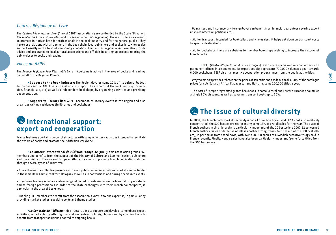### *Centres Régionaux du Livre*

The *Centres Régionaux du Livre*, ("law of 1901" associations) are co-funded by the State (*Directions Régionales des Affaires Culturelles*) and the Regions (*Conseils Régionaux*). These structures are meant to promote initiatives both for professionals in the book industry and for the general public . They have close relations with all partners in the book chain, local publishers and booksellers, who receive support usually in the form of continuing education. The *Centres Régionaux du Livre* also provide advice and assistance to local cultural associations and officials in setting up projects to bring the public closer to books and reading.

### *Focus on ARPEL*

The *Agence Régionale Pour l'Ecrit et le Livre* in Aquitaine is active in the area of books and reading, on behalf of the Regional Council.

• **Support to the book industry:** The Region devotes some 10% of its cultural budget to the book sector. ARPEL sets up systems to support the economy of the book industry (promotion, financial aid, etc) as well as independent bookshops, by organizing activities and providing documentation.

• **Support to literary life:** ARPEL accompanies literary events in the Region and also organizes writing residences (in libraries and bookshops).

### **International support: export and cooperation**

France features a certain number of structures with complementary activities intended to facilitate the export of books and promote their diffusion worldwide.

• **Le Bureau International de l'Édition Française (BIEF):** this association groups 250 members and benefits from the support of the Ministry of Culture and Communication, publishers and the Ministry of Foreign and European Affairs. Its aim is to promote French publications abroad through several types of initiatives:

- Guaranteeing the collective presence of French publishers on international markets, in particular in the main Book Fairs (Frankfort, Bologna) as well as in conventions and during specialized events.

- Organizing training seminars and exchanges directed to professionals in the book industry worldwide and to foreign professionals in order to facilitate exchanges with their French counterparts, in particular in the area of bookshops.

- Enabling BIEF members to benefit from the association's know-how and expertise, in particular by providing market studies, special reports and theme studies.

•**La Centrale de l'Édition:** this structure aims to support and develop its members' export activities, in particular by offering financial guarantees to foreign buyers and by enabling them to benefit from transport solutions adapted to shipping books.

- Guarantees and insurance: any foreign buyer can benefit from financial guarantees covering export risks (commercial, political, etc).

- Aid for transport: intended for booksellers and wholesalers, it helps cut down on transport costs to specific destinations.

- Aid for bookshops: there are subsidies for member bookshops wishing to increase their stocks of French books.

•**CELF** (*Centre d'Exportation du Livre Français*): a structure specialized in small orders with permanent offices in six countries. Its export activity represents 700,000 volumes a year towards 6,000 bookshops. CELF also manages two cooperation programmes from the public authorities:

- *Programme plus* provides rebates on the prices of scientific and academic books (50% of the catalogue price) for sub-Saharan Africa, Madagascar and Haiti, i.e. some 100,000 titles a year.

- The *East of Europe* programme grants bookshops in some Central and Eastern European countries a single 60% discount, as well as covering transport costs up to 50%.

### **The issue of cultural diversity**

**CULTURAL POLICIES INTERFERENCES**<br>
CULTURAL POLICIES IN FRANCE IN CONTRACT TO A CONTRACT CONTRACT CONTRACT CONTRACT CONTRACT CONTRACT CONTRACT CONTRACT CONTRACT CONTRACT CONTRACT CONTRACT CONTRACT CONTRACT CONTRACT CONTRA In 2007, the French book market seems dynamic (470 million books sold, +2%) but also relatively concentrated, the 500 bestsellers representing some 13% of overall sales for the year. The place of French authors in this hierarchy is particularly important: of the 20 bestsellers 2007, 12 concerned French authors. Sales of detective novels is another strong trend (74 titles out of the 500 bestsellers), in particular from Scandinavia, with over 450,000 copies of a Swedish detective trilogy sold in France recently. Finally, Manga sales have also been particularly important (some forty titles from the 500 bestsellers).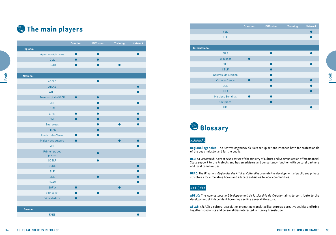## **The main players**

|                 |                                    | <b>Creation</b> | <b>Diffusion</b> | <b>Training</b> | <b>Network</b> |
|-----------------|------------------------------------|-----------------|------------------|-----------------|----------------|
| Regional        |                                    |                 |                  |                 |                |
|                 | Agences régionales                 | $\bullet$       | $\bullet$        |                 | $\bullet$      |
|                 | <b>DLL</b>                         | $\bullet$       | $\bullet$        |                 |                |
|                 | <b>DRAC</b>                        | $\bullet$       | $\bullet$        | $\bullet$       |                |
|                 |                                    |                 |                  |                 |                |
| <b>National</b> |                                    |                 |                  |                 |                |
|                 | <b>ADELC</b>                       |                 | $\bullet$        |                 |                |
|                 | <b>ATLAS</b>                       |                 |                  |                 | $\bullet$      |
|                 | <b>ATLF</b>                        |                 |                  |                 |                |
|                 | Beaumarchais-SACD                  | $\bullet$       | $\bullet$        |                 |                |
|                 | <b>BNF</b>                         |                 |                  |                 |                |
|                 | <b>CFC</b>                         |                 | $\bullet$        |                 |                |
|                 | <b>CIPM</b>                        |                 |                  |                 |                |
|                 | CNL                                | $\bullet$       | $\bullet$        |                 |                |
|                 | Ent'revues                         |                 |                  |                 |                |
|                 | <b>FISAC</b>                       |                 |                  |                 |                |
|                 | <b>Fonds Jules Verne</b>           |                 |                  |                 |                |
|                 | Maison des auteurs                 | $\bullet$       |                  | $\bullet$       | $\bullet$      |
|                 | <b>MEL</b>                         |                 |                  |                 |                |
|                 |                                    |                 |                  |                 |                |
|                 | Printemps des<br>poètes            |                 | $\bullet$        |                 |                |
|                 | <b>SCELF</b>                       |                 |                  |                 |                |
|                 | <b>SGDL</b>                        |                 |                  |                 |                |
|                 | <b>SLF</b>                         |                 |                  |                 |                |
|                 | <b>SNE</b>                         |                 |                  |                 |                |
|                 | <b>SNAC</b>                        |                 |                  |                 |                |
|                 | <b>SOFIA</b>                       | $\bullet$       |                  | $\bullet$       |                |
|                 | <b>Villa Gillet</b>                |                 | $\bullet$        |                 |                |
|                 | <b>Villa Medicis</b>               | $\bullet$       |                  |                 |                |
|                 |                                    |                 |                  |                 |                |
| <b>Europe</b>   |                                    |                 |                  |                 |                |
|                 | <b>FAEE</b>                        |                 |                  |                 |                |
|                 |                                    |                 |                  |                 |                |
|                 |                                    |                 |                  |                 |                |
|                 | <b>CULTURAL POLICIES IN FRANCE</b> |                 |                  |                 |                |

|                          | <b>Creation</b> | <b>Diffusion</b> | <b>Training</b> | <b>Network</b> |
|--------------------------|-----------------|------------------|-----------------|----------------|
| FEL.                     |                 |                  |                 |                |
| FEE.                     |                 |                  |                 |                |
|                          |                 |                  |                 |                |
| <b>International</b>     |                 |                  |                 |                |
| <b>AILF</b>              |                 |                  |                 |                |
| <b>Biblionef</b>         |                 |                  |                 |                |
| <b>BIEF</b>              |                 | m                |                 |                |
| <b>CELF</b>              |                 |                  |                 |                |
| Centrale de l'édition    |                 | r i              |                 |                |
| Culturesfrance           |                 |                  |                 |                |
| <b>DLL</b>               |                 | ●                |                 |                |
| <b>IFLA</b>              |                 |                  |                 |                |
| <b>Missions Stendhal</b> |                 |                  |                 |                |
| <b>Ubifrance</b>         |                 |                  |                 |                |
| <b>UIE</b>               |                 |                  |                 |                |

## **Glossary**

### *Regional*

### *National*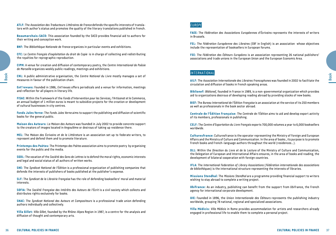**Book** 

**ATLF:** The *Association des Traducteurs Littéraires de France* defends the specific interests of translators with author's status and promotes the quality of the literary translations published in French.

**Beaumarchais-SACD:** This association founded by the SACD provides financial aid to authors for their writing and conception work.

**BNF:** The *Bibliothèque Nationale de France* organizes in particular events and exhibitions.

**CFC:** Le *Centre Français d'exploitation du droit de Copie* is in charge of collecting and redistributing the royalties for reprographic reproduction.

**CIPM:** A venue for creation and diffusion of contemporary poetry, the *Centre International de Poésie de Marseille* organizes weekly public readings, meetings and exhibitions.

**CNL:** A public administrative organisation, the *Centre National du Livre* mostly manages a set of measures in favour of the publication chain.

**Ent'revues:** Founded in 1986, *Ent'revues* offers periodicals and a venue for information, meetings and reflection for all players in literary life.

**FISAC:** Within the framework of the *Fonds d'Intervention pour les Services, l'Artisanat et le Commerce,*  an annual budget of 1 million euros is meant to subsidize projects for the creation or development of cultural businesses in city centres.

**Fonds Jules Verne:** The *Fonds Jules Verne* aims to support the publishing and diffusion of scientific books for the general public.

**Maison des Auteurs:** *La Maison des Auteurs* was founded in July 2002 to provide concrete support to the creators of images located in Angoulême or desirous of taking up residence there.

**MEL:** The *Maison des Écrivains et de la Littérature* is an association set up to federate writers, to represent and defend them and to promote literature.

**Printemps des Poètes:** The *Printemps des Poètes* association aims to promote poetry by organising events for the public and the media.

**SGDL:** The vocation of the *Société des Gens de Lettres* is to defend the moral rights, economic interests and legal and social status of all authors of written works.

**SNE:** The *Syndicat National de l'Édition* is a professional organization of publishing companies that defends the interests of publishers of books published at the publisher's expense.

**SLF:** The *Syndicat de la Librairie Française* has the role of defending booksellers' moral and material interests.

**SOFIA:** The *Société Française des Intérêts des Auteurs de l'Écrit* is a civil society which collects and distributes rights exclusively for books.

**SNAC:** The *Syndicat National des Auteurs et Compositeurs* is a professional trade union defending authors individually and collectively.

**Villa Gillet:** *Villa Gillet*, founded by the Rhône-Alpes Region in 1987, is a centre for the analysis and diffusion of thought and contemporary arts.

### *Europe*

**FAEE:** The *Fédération des Associations Européennes d'Écrivains* represents the interests of writers in Brussels.

**FEL:** The *Fédération Européenne des Libraires* (EBF in English) is an association whose objectives include the representation of booksellers in European forums.

**FEE:** The *Fédération des Éditeurs Européens* is an association representing 26 national publishers' associations and trade unions in the European Union and the European Economic Area.

### *International*

**AILF:** The *Association Internationale des Libraires Francophones* was founded in 2002 to facilitate the circulation and diffusion of books in French speaking areas.

**Biblionef:** *Biblionef*, founded in France in 1989, is a non-governmental organization which provides aid to organizations desirous of developing reading abroad by providing stocks of new books.

**BIEF:** The *Bureau International de l'Édition Française* is an association at the service of its 250 members as well as professionals in the book sector abroad.

**Centrale de l'Édition Française:** The *Centrale de l'Édition* aims to aid and develop export activity of its members, professionals in publishing.

**CELF:** The *Centre d'Exportation du Livre Français* exports 700,000 volumes a year to 6,000 booksellers worldwide.

**Culturesfrance:** Culturesfrance is the operator representing the Ministry of Foreign and European Affairs and the Ministry of Culture and Communication. In the area of books , its purpose is to promote French books and French-language authors throughout the world (residences...).

CULTURAL POLICIES INTERFERIENCE CONTROL INTERFERIENCE CONTROL INTERFERIENCE CONTROL INTERFERIENCE CONTROL INTERFERIENCE INTERFERIENCE INTERFERIENCE INTERFERIENCE INTERFERIENCE INTERFERIENCE INTERFERIENCE INTERFERIENCE INTE **DLL:** Within the *Direction du Livre et de la Lecture* of the Ministry of Culture and Communication, the Delegation of European and International Affairs ensures, in the area of books and reading, the development of bilateral cooperation with foreign countries.

**IFLA:** The *International Federation of Library Associations* (*Fédération internationale des associations de bibliothèques*) is the international structure representing the interests of libraries.

**Missions Stendhal:** The *Missions Stendhal* are a programme providing financial support to writers wishing to stay abroad to complete a writing project.

**Ubifrance:** As an industry, publishing can benefit from the support from Ubifrance, the French agency for international corporate development.

**UIE:** Founded in 1896, the *Union Internationale des Éditeurs* represents the publishing industry worldwide, grouping 78 national, regional and specialized associations.

**Villa Médicis:** *Villa Médicis* in Rome provides accommodation for artists and researchers already engaged in professional life to enable them to complete a personal project.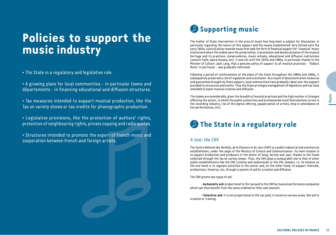# **Policies to support the music industry**

• The State in a regulatory and legislative role.

• A growing place for local communities - in particular towns and départements - in financing educational and diffusion structures.

• Tax measures intended to support musical production, like the Tax on variety shows or tax credits for phonographic production.

• Legislative provisions, like the protection of authors' rights, protection of neighbouring rights, private copying and radio quotas.

• Structures intended to promote the export of French music and cooperation between French and foreign artists.

## **Supporting music**

The matter of State intervention in the area of music has long been a subject for discussion, in particular regarding the nature of this support and the means implemented. Very limited until the early 1950s, cultural policy towards music first took the form of financial support for "classical" music institutions where the stakes were the preservation, transmission and democratization of the musical heritage and its practices: conservatoires, music schools, educational and diffusion institutions (concert halls, opera houses, etc). It was not until the 1970s and 1980s, in particular thanks to the Minister of Culture Jack Lang, that a genuine policy of support to all musical practices - 'Today's Music' in particular - was gradually instituted.

Following a period of reinforcement of the place of the State throughout the 1980s and 1990s, it subsequently preserved a role of regulation and orientation. As a result of deconcentration measures and guarantees brought by State support, local communities have gradually taken over the support provided to structures and events. Thus the State privileges management of legislative and tax tools intended to boost musical creation and diffusion.

The stakes are considerable, given the breadth of musical practices and the high number of changes affecting the sector, to which the public authorities and professionals must find solutions (crisis in the recording industry, rise of the digital offering, pauperization of artists, drop in attendance of live performances, etc).

## *P* The State in a regulatory role

### *A tool: the CNV*

Frances intended to support musical production, like the method of the specific intended to a consiste of the properties in consistent intended to a consistent of the expert of French majo and adia quantum state of the s The *Centre National des Variétés, de la Chanson et du Jazz* (CNV) is a public industrial and commercial establishment, under the aegis of the Ministry of Culture and Communication. Its main mission is to support production and producers in the sector of Song, Variety and Jazz, thanks to the funds collected through the Tax on variety shows. Thus, the CNV plays a comparable role to that of other public establishments like the CNC (cinema and audiovisual) or the CNL (books), *i.e.* its mission on the one hand is to regulate activities in the sector and, on the other hand, to support festivals, productions, theatres, etc, through a system of aid for creation and diffusion.

The CNV grants two types of aid:

• **Automatic aid:** proportional to the tax paid to the CNV by musical performance companies which can thus benefit from the sums credited on their own account.

• **Selective aid:** it is not proportional to the tax paid; it concerns various areas, like aid to creation or training.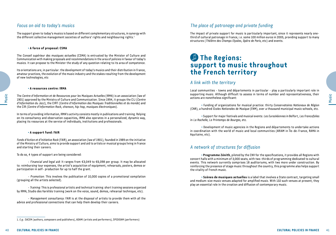### *Focus on aid to today's musics*

The support given to today's musics is based on different complementary structures, in synergy with the different collective management societies of authors' rights and neighbouring rights.<sup>1</sup>

#### • **A force of proposal: CSMA**

The *Conseil supérieur des musiques actuelles* (CSMA) is entrusted by the Minister of Culture and Communication with making proposals and recommendations in the area of policies in favour of today's musics. It can propose to the Minister the study of any question relating to its area of competence.

Its orientations are, in particular: the development of today's musics and their distribution in France, amateur practices, the evolution of the music industry and the stakes resulting from the development of new technologies, etc

#### • **A resources centre: IRMA**

The Centre d'Information et de Re<br>
1901) approved by the Ministry of<br>
d'Information du Jazz), the CIMT<br>
the CIR (Centre d'Information Rou<br>
In terms of providing information<br>
on its consultancy and observat<br>
placing its res The *Centre d'Information et de Ressources pour les Musiques Actuelles* (IRMA) is an association (law of 1901) approved by the Ministry of Culture and Communication. Since 1994, it groups the CIJ (*Centre d'Information du Jazz*), the CIMT (*Centre d'Information des Musiques Traditionnelles et du monde*) and the CIR (*Centre d'Information Rock, chanson, hip-hop, musiques électroniques*).

In terms of providing information, IRMA's activity consists mostly in publications and training. Relying on its consultancy and observation capacities**,** IRMA also operates in a personalized, dynamic way, placing its resources at the service of individuals, institutions and professionals.

#### • **A support fund: FAIR**

*Fonds d'Action et d'Initiative Rock* (FAIR), an association (law of 1901), founded in 1989 on the initiative of the Ministry of Culture, aims to provide support and aid to artists or musical groups living in France and starting their careers.

To do so, 4 types of support are being considered:

- Financial and legal aid: It ranges from €3,049 to €6,098 per group. It may be allocated to: reimbursing tour expenses, the artist's acquisition of equipment, rehearsals, posters, demos or participation in self- production for up to half the grant.

- Promotion: This involves the publication of 10,000 copies of a promotional compilation (grouping all the artists selected).

- Training: This is professional artistic and technical training: short training sessions organized by IRMA, Studio des Variétés training (work on the voice, sound, demos, rehearsal technique, etc).

- Management consultancy: FAIR is at the disposal of artists to provide them with all the advice and professional connections that can help them develop their careers.

### *The place of patronage and private funding*

The impact of private support for music is particularly important, since it represents nearly onethird of cultural patronage in France, i.e. some 100 million euros in 2005, providing support to many structures (*Théâtre des Champs Elysées, Opéra de Paris*, etc) and events.

## **The Regions: support to music throughout the French territory**

### *A link with the territory*

Local communities - towns and départements in particular - play a particularly important role in supporting music. Although difficult to assess in terms of number and representativeness, their actions are nonetheless significant:

• Funding of organizations for musical practice: thirty *Conservatoires Nationaux de Région*  (CNR), a hundred *Écoles Nationales de Musique* (ENM), over a thousand municipal music schools, etc.

• Support for major festivals and musical events: *Les Eurockéennes* in Belfort, *Les Francofolies* in *La Rochelle*, *Le Printemps de Bourges*, etc.

• Development of music agencies in the Regions and départements to undertake actions in coordination with the world of music and local communities (ARIAM in Île-de-France, RAMA in Aquitaine, etc).

### *A network of structures for diffusion*

Et allu representativeness, their<br>
meervatoires Notionaux de Région<br>
mal municipal music schools, etc.<br>
dennes in Belfort, Les Francofolies<br>
artements to undertake actions<br>
ARIAM in Île-de-France, RAMA in<br>
missant in Île-d • **Programme Zénith**, piloted by the CNV for the specifications, it provides all Regions with concert halls with a minimum of 3,000 seats, with two-thirds of programming dedicated to cultural events. This network currently comprises 18 auditoriums, with two more under construction. By reinforcing the presence of stage music throughout the country, this programme also helps support the vitality of French music.

• **Scènes de musiques actuelles** is a label that involves a State contract, targeting small and medium-size music venues adapted for amplified music. With 132 such venues at present, they play an essential role in the creation and diffusion of contemporary music.

<sup>1.</sup> *E.g.*: SACEM (authors, composers and publishers), ADAMI (artists and performers), SPEDIDAM (performers)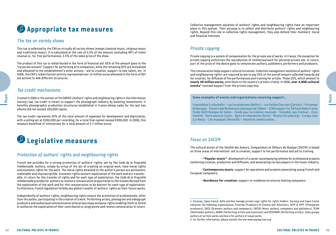## **Appropriate tax measures**

### *The tax on variety shows*

This tax is collected by the CNV on virtually all variety shows (except classical music, religious music and traditional music). It is calculated at the rate of 3.5% of the amount (excluding VAT) of ticket revenue or, for free performances, 3.5% of the sales price of the show.

The product of this tax is redistributed in the form of financial aid: 65% of the amount goes to the "corporate account" (support for performing arts companies), while the remaining 35% are mutualised and allocated to the establishment's other actions – aid to creation, support to new talent, etc. In 2006, the CNV's redistribution activity represented over 14 million euros allocated in the form of 837 aid actions to 466 different structures.

### *Tax credit mechanisms*

Created in 2006 in the context of the DADVSI (Authors' rights and neighbouring rights in the Information Society) law, tax credit is meant to support the phonograph industry by boosting investments. It benefits phonographic production structures established in France whose sales for the last two albums did not exceed 100,000 copies.

The tax credit represents 20% of the total amount of expenses for development and digitization, with a ceiling set at €350,000 per recording, for a total that cannot exceed €500,000. In 2006, this measure benefited 47 enterprises for a total amount of 2.7 million euros.

## **Legislative measures**

### *Protection of authors' rights and neighbouring rights*

Created in 2006 in the context of 1<br>
Society) law, tax credit is mean<br>
benefits phonographic product<br>
albums did not exceed 100,000<br>
The tax credit represents 20%<br>
with a ceiling set at €350,000 p<br>
measure benefited 47 en French law provides for a strong protection of authors' rights, set by the *Code de la Propriété Intellectuelle*. Authors, simply by virtue of the act of creating an original work, have moral rights and economic rights for the work. The moral rights attached to the author's person are permanent, inalienable and imprescriptible. Economic rights concern exploitation of the work and are transferable. In return for the transfer of rights and for each type of exploitation, the *Code de la Propriété Intellectuelle* provides for authors to receive a remuneration proportional to the income derived from the exploitation of the work and for this remuneration to be distinct for each type of exploitation. Furthermore, French legislation forbids any global transfer of authors' rights on their future works.

Independently of authors' rights, neighbouring rights ensure the protection of professionals, other than the author, participating in the creation of a work. Performing artists, phonogram and videograph producers and audiovisual communication enterprises enjoy exclusive rights enabling them to forbid or authorize the exploitation of their contribution or programme and receive remuneration in return.

Collective management societies of authors' rights and neighbouring rights have an important place in this system. Their purpose is to collect and distribute authors' rights and neighbouring rights. Beyond this role in collective rights management, they also defend their members' moral and financial interests.

### *Private copying*

Private copying is a system of compensation for the private use of works. In France, the exception for private copying authorizes the reproduction of intellectual work for personal private use. In return, part of the price of the device goes to remunerate authors, publishers, performers and producers.

This remuneration helps support cultural initiatives. Collective management societies of authors' rights and neighbouring rights $^1$  are required by law to pay 25% of the overall amount collected towards aid for creation, for diffusion of live performances and training for artists. These 25%, which amount to **nearly 40 million euros,** contribute to the country's artistic vitality. In 2006, **over 4,000 cultural events2** received support from the private copy levy.

#### **Some examples of events and organizations receiving support…**

Francofolies (La Rochelle) – Les Eurockéennes (Belfort) - Les Vieilles Charrues (Carhaix) – Printemps de Bourges - Concert des Révélations classiques de l'Adami - SCAM support for Éditions Radio France Fonds SACD Musique de Scène - Fonds pour la création musicale – Grenoble Jazz Festival – Zone franche – Nuits sonores (Lyon) - Agora et résonances (Paris) – Musica (Strasbourg) – Europa Jazz (Le Mans) – Les musiques (Marseille) – Attention talents scène…

### *Focus on SACEM*

The cultural action of the *Société des Auteurs, Compositeurs et Éditeurs de Musique* (SACEM) is based on three areas of intervention: aid to creation, support to live performance and aid to training.

• **"Popular music"**: development of a career accompanying scheme for professional projects combining creation, production and diffusion, and associating various players in the music industry.

• **Contemporary music**: support for operations and projects associating young French and European composers.

• **Residence for creation:** support to residence structures hosting composers

**CULTURAL POLICIES IN FRANCE<br>
CULTURAL POLICIES IN FRANCE<br>
CULTURAL POLICIES IN FRANCE<br>
CHERANCE ACTION STATES IN THE SERVICE OF SURFANCE AND SURFANCE AND SURFANCE ASSOCIATIONS (SCHEM) IS based<br>
ormance and aid to training** 1. Sorecop, Copie France, Sofia and Ava manage private copy rights for rights holders. Sorecop and Copie France comprise the following organizations: Procirep (Producers of Cinema and Television); SCPP & SPPF (Phonogram producers); SACD (Dramatic authors and composers); SACEM (Music authors, composers and publishers); SCAM (Multimedia authors); ADAMI (Performing artists and musicians) and SPEDIDAM (Performing artists). Sofia groups authors of written works and Ava is for authors of visual works.

<sup>2</sup>. For further information, please consult the site www.copieprivee.org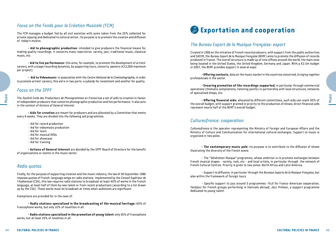### *Focus on the Fonds pour la Création Musicale (FCM)*

The FCM manages a budget fed by all civil societies with sums taken from the 25% collected for private copying and dedicated to cultural action. Its purpose is to promote the creation and diffusion of today's musics.

• **Aid to phonographic production**: intended to give producers the financial means for making quality recordings. It concerns many repertoires: variety, jazz, traditional music, classical music, etc.

• **Aid to live performance:** this aims, for example, to promote the development of artists' careers, with a stage/recording dynamics, by supporting tours, concerts, openers (€12,000 maximum per project).

• **Aid to Videomusic:** in association with the *Centre National de la Cinématographie*, in order to promote artists' careers, this aid is in two parts: a subsidy for investment and another for quality.

### *Focus on the SPPF*

The *Société Civile des Producteurs de Phonogrammes en France* has a set of aids to creation in favour of independent producers that concerns phonographic production and live performance. It also acts in the context of Actions of General Interest.

• **Aids for creation** are meant for producers and are allocated by a Committee that meets every 6 weeks. They are divided into the following aid programmes:

- Aid for record production
- Aid for videomusic production
- Aid for tours
- Aid for musical DVDs
- Aid for showcase
- Aid for training

• **Actions of General Interest** are decided by the SPPF Board of Directors for the benefit of organizations or events in the music sector.

#### *Radio quotas*

The *Société Civile des Producteur*<br>
of independent producers that c<br>
in the context of Actions of Gene<br>
• **Aids for creation** are<br>
• **Aids for creation** are<br>
• **Aid for record product**<br>
– Aid for record product<br>
– Aid for Finally, for the purpose of supporting creation and the music industry, the law of 30 September 1986 imposes quotas of French-language songs on radio stations. Implemented by the *Conseil Supérieur de l'Audiovisuel* (CSA), this law requires radio stations to broadcast at least 40% of works in the French language, at least half of them by new talent or from recent productions (according to a list drawn up by the CSA). These works must be broadcast at times when audiences are significant.

Exemptions are provided for in the case of:

• **Radio stations specialized in the broadcasting of the musical heritage:** 60% of Francophone works, but only 10% of novelties in all.

• **Radio stations specialized in the promotion of young talent:** only 35% of Francophone works, but at least 25% of novelties in all.

### **Exportation and cooperation**

### *The Bureau Export de la Musique Française: export*

Created in 1993 on the initiative of French record producers, with support from the public authorities and SACEM, the *Bureau Export de la Musique Française* (BEMF) aims to promote the diffusion of records produced in France. The overall structure is made up of nine offices around the world, the main ones being located in the United States, the United Kingdom, Germany and Japan. With a €2.5m budget in 2007, the BEMF provides support in several ways:

• **Offering contacts**, data on the music market in the countries concerned, bringing together professionals in the sector.

• **Ensuring promotion of the recordings supported**, in particular through commercial operations (thematic compilations, listening points) in partnership with local structures, networks of specialized shops, etc.

• **Offering financial aids:** allocated by different committees, such aids can reach 50% of the overall budget, with support granted in priority to the production of shows; direct financial aids represent nearly half of the BEMF's overall budget.

### *Culturesfrance: cooperation*

tees, such aids can reach 50% of<br>
on of shows; direct financial aids<br> **CULTURAL POLICIES IN FRANCE**<br>
1979 and European Affairs and the<br>
exchanges. Support to music is<br>
tribute to the diffusion of shows<br>
sto promote exchang *Culturesfrance* is the operator representing the Ministry of Foreign and European Affairs and the Ministry of Culture and Communication for international cultural exchanges. Support to music is organized in two poles:

• **The contemporary music pole:** its purpose is to contribute to the diffusion of shows illustrating the diversity of the French scene.

- The "*Génération Musique"* programme, whose ambition is to promote exchanges between French musical stages - variety, rock, etc - and local artists, in particular through the network of French Cultural Centres. Priority is given to two zones: North Africa and Latin America.

- Support to diffusion, in particular through the *Bureaux Exports de la Musique Française*, but also within the framework of foreign tours.

- Specific support to jazz around 3 programmes: *FAJE* for Franco-American cooperation; *Festijazz* for French groups performing in festivals abroad; *Jazz Primeur*, a support programme dedicated to young talent.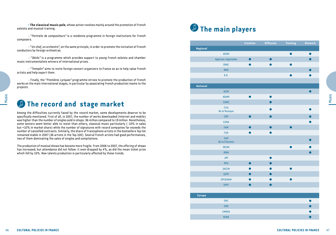- "*Portraits de compositeurs"* is a residence programme in foreign institutions for French composers.

- "*Un chef, un orchestre"*, on the same principle, in order to promote the invitation of French conductors by foreign orchestras.

- "*Déclic"* is a programme which provides support to young French soloists and chamber music instrumentalists winners of international prizes.

- "*Tremplin"* aims to invite foreign concert organizers to France so as to help value French artists and help export them.

- Finally, the "*Premières Lyriques"* programme strives to promote the production of French works on the main international stages, in particular by associating French production teams to the projects.

### **The record and stage market**

46<br> **COLT Among the difficulties current**<br>
specifically mentioned. First of a was higher than the number of s<br>
some sectors seem better able<br>
but +10% in market share) while<br>
number of cancelled contracts. S.<br>
remained sta Among the difficulties currently faced by the record market, some developments deserve to be specifically mentioned. First of all, in 2007, the number of works downloaded (Internet and mobile) was higher than the number of singles sold in shops: 36 million compared to 19 million. Nonetheless, some sectors seem better able to resist than others, classical music particularly (-10% in sales but +10% in market share) while the number of signatures with record companies far exceeds the number of cancelled contracts. Similarly, the share of Francophone artists in the bestsellers Top list remained stable in 2007 (36 artists in the Top 100). Several French artists had good performances, two of them dominating the sales of singles and compilations.

The production of musical shows has become more fragile. From 2006 to 2007, the offering of shows has increased, but attendance did not follow: it even dropped by 4%, as did the mean ticket price which fell by 10%. New talents production is particularly affected by these trends.

## **The main players**

| Network   | Training  | Diffusion | Creation  |                       |
|-----------|-----------|-----------|-----------|-----------------------|
|           |           |           |           | Regional              |
| $\bullet$ | $\bullet$ |           |           | ADDM                  |
| $\bullet$ |           | $\bullet$ | $\bullet$ | Agences régionales    |
|           | ●         |           |           | <b>DRAC</b>           |
| $\bullet$ |           |           |           | <b>RMD</b>            |
|           |           |           |           | R.R.                  |
|           |           |           |           | <b>National</b>       |
| $\bullet$ |           |           |           | ACIM                  |
|           |           | $\bullet$ |           | <b>ADAMI</b>          |
|           |           | $\bullet$ |           | <b>CDMC</b>           |
| ●         |           | $\bullet$ |           | Cité<br>de la Musique |
|           |           | $\bullet$ |           | <b>CNV</b>            |
|           |           |           |           | <b>CSMA</b>           |
|           | $\bullet$ | $\bullet$ | $\bullet$ | FAIR                  |
|           |           | O         | n         | <b>FCM</b>            |
|           |           |           |           | Hall<br>de la Chanson |
|           |           |           |           | <b>IRCAM</b>          |
|           |           |           |           | <b>IRMA</b>           |
|           |           | $\bullet$ |           | <b>JMF</b>            |
|           |           | $\bullet$ | $\bullet$ | <b>MFA</b>            |
|           |           |           |           | <b>SACEM</b>          |
|           |           | $\bullet$ | $\bullet$ | <b>SCPP</b>           |
|           |           |           |           | SPEDIDAM              |
|           |           | $\bullet$ | $\bullet$ | <b>SPPF</b>           |
|           |           |           |           | <b>Europe</b>         |
| $\bullet$ |           |           |           | EMC                   |
|           |           |           |           | EM <sub>0</sub>       |
|           |           |           |           | <b>EMMEN</b>          |
|           |           |           |           | <b>REMA</b>           |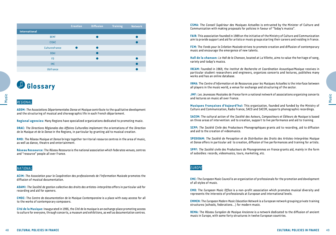|                  | <b>Creation</b> | <b>Diffusion</b> | <b>Training</b> | <b>Network</b> |
|------------------|-----------------|------------------|-----------------|----------------|
| International    |                 |                  |                 |                |
| <b>BEMF</b>      |                 |                  |                 |                |
| <b>CISAC</b>     |                 |                  |                 |                |
| Culturesfrance   |                 |                  |                 |                |
| <b>DDAI</b>      |                 |                  |                 |                |
| <b>FD</b>        |                 |                  |                 |                |
| <b>IMC</b>       |                 |                  |                 |                |
| <b>Ubifrance</b> |                 |                  |                 |                |

## **Glossary**

### *Regional*

**ADDM:** *The Associations Départementales Danse et Musique* contribute to the qualitative development and the structuring of musical and choreographic life in each French département.

**Regional agencies:** Many Regions have specialized organizations dedicated to promoting music.

**DRAC:** *The Directions Régionales des Affaires Culturelles* implement the orientations of the *Direction de la Musique et de la Danse* in the Regions, in particular by granting aid to musical creation.

**RMD:** *The Réseau Musique et Danse* brings together territorial resource centres in the area of music, as well as dance, theatre and entertainment.

**Réseau Ressource:** The *Réseau Ressource* is the national association which federates venues, centres and "resource" people all over France.

### *National*

**ACIM:** *The Association pour la Coopération des professionnels de l'Information Musicale* promotes the diffusion of musical documentation.

**ADAMI:** *The Société de gestion collective des droits des artistes-interprètes* offers in particular aid for recording and aid for openers.

**Example 12**<br> **COLUTE ASSOCIATE:**<br> **COLUTE ASSOCIATE:**<br> **COLUTE ASSOCIATE:**<br> **CONTACE:** The Directions Régionales<br>
de la Musique et de la Danse in th<br> **RMD:** The Réseau Musique et Dans<br>
as well as dance, theatre and en<br> **R CMDC:** The *Centre de documentation de la Musique Contemporaine* is a place with easy access for all to the works of contemporary composers.

**Cité de la Musique:** Inaugurated in 1995, the *Cité de la musique* is an exchange place promoting access to culture for everyone, through concerts, a museum and exhibitions, as well as documentation centres.

**CSMA:** The *Conseil Supérieur des Musiques Actuelles* is entrusted by the Minister of Culture and Communication with making proposals for policies in favour of "Today's musics".

**FAIR:** This association founded in 1989 on the initiative of the Ministry of Culture and Communication aim to provide support and aid for artists or music groups starting their careers and residing in France.

**FCM:** The *Fonds pour la Création Musicale* strives to promote creation and diffusion of contemporary music and encourage the emergence of new talents.

**Hall de la chanson:** *Le Hall de la Chanson*, located at La Villette, aims to value the heritage of song, variety and today's musics.

**IRCAM:** Founded in 1969, the *Institut de Recherche et Coordination Acoustique/Musique* receives in particular student researchers and engineers, organizes concerts and lectures, publishes many works and has an online database.

**IRMA:** The *Centre d'Information et de Ressources pour les Musiques Actuelles* is the interface between all players in the music world, a venue for exchange and structuring of the sector.

**JMF:** *Les Jeunesses Musicales de France* form a national network of associations organizing concerts and lectures on music all over France.

**Musiques Françaises d'Aujourd'hui:** This organization, founded and funded by the Ministry of Culture and Communication, Radio France, SACD and SACEM, supports phonographic recordings.

**SACEM:** The cultural action of the *Société des Auteurs, Compositeurs et Éditeurs de Musique* is based on three areas of intervention: aid to creation, support to live performance and aid to training.

associations organizing concerts<br>
End and funded by the Ministry of<br>
The Mosique is based<br>
ormance and aid to training.<br>
First phonographic recordings.<br>
First efficiency and the Musique is based<br>
ormance and aid to trainin **SCPP:** *The Société Civile des Producteurs Phonographiques* grants aid to recording, aid to diffusion and aid to the creation of videomusics.

**SPEDIDAM:** *The Société de Perception et de Distribution des Droits des Artistes-Interprètes Musique et Danse* offers in particular aid to creation, diffusion of live performances and training for artists.

**SPPF:** *The Société civile des Producteurs de Phonogrammes en France* grants aid, mainly in the form of subsidies: records, videomusics, tours, marketing, etc.

### *Europe*

**EMC:** The *European Music Council* is an organization of professionals for the promotion and development of all styles of music.

**EMO:** The *European Music Office* is a non-profit association which promotes musical diversity and represents the interests of professionals at European and international levels.

**EMMEN:** The *European Modern Music Education Network* is a European network grouping private training structures (schools, federations...) for modern music.

**REMA:** The *Réseau Européen de Musique Ancienne* is a network dedicated to the diffusion of ancient music in Europe, with some forty structures in twelve European countries.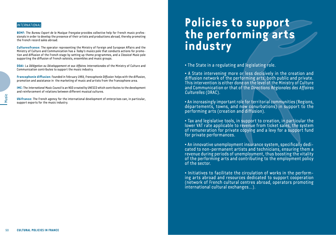#### *International*

**BEMF:** The *Bureau Export de la Musique Française* provides collective help for French music professionals in order to develop the presence of their artists and productions abroad, thereby promoting the French record sales abroad.

**Culturesfrance:** The operator representing the Ministry of Foreign and European Affairs and the Ministry of Culture and Communication has a *Today's musics* pole that conducts actions for promotion and diffusion of the French stage by setting up theme programmes, and a *Classical Music* pole supporting the diffusion of French soloists, ensembles and music groups.

**DDAI:** La *Délégation au Développement et aux Affaires Internationales* of the Ministry of Culture and Communication contributes to support the music industry.

**Francophonie diffusion:** Founded in February 1993, *Francophonie Diffusion* helps with the diffusion, promotion and assistance in the marketing of music and artists from the Francophone area.

**IMC:** The *International Music Council* is an NGO created by UNESCO which contributes to the development and reinforcement of relations between different musical cultures.

 $\frac{1}{100}$  Ubifrance: The French agency f<br>support exports for the music in<br> $\overline{ }$ **Ubifrance:** The French agency for the international development of enterprises can, in particular, support exports for the music industry.

# **Policies to support the performing arts industry**

• The State in a regulating and legislating role.

• A State intervening more or less decisively in the creation and diffusion network of the performing arts, both public and private. This intervention is either done on the level of the Ministry of Culture and Communication or that of the *Directions Régionales des Affaires Culturelles* (DRAC).

• An increasingly important role for territorial communities (Regions, départements, towns, and now conurbations) in support to the performing arts (creation and diffusion).

• Tax and legislative tools, in support to creation, in particular the lower VAT rate applicable to revenue from ticket sales, the system of remuneration for private copying and a levy for a support fund for private performances.

nmunities (Regions,<br>in support to the<br>n, in particular the<br>t sales, the system<br>for a support fund<br>n, specifically dedi-<br>s, ensuring them a<br>oosting the vitality<br>employment policy<br>ks in the perform-<br>upport cooperation<br>erator • An innovative unemployment insurance system, specifically dedicated to non-permanent artists and technicians, ensuring them a revenue during periods of unemployment, thus boosting the vitality of the performing arts and contributing to the employment policy of the sector.

• Initiatives to facilitate the circulation of works in the performing arts abroad and resources dedicated to support cooperation (network of French cultural centres abroad, operators promoting international cultural exchanges...).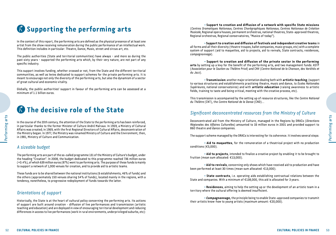## **Supporting the performing arts**

In the context of this report, the performing arts are defined as the physical presence of at least one artist from the show receiving remuneration during the public performance of an intellectual work. This definition includes in particular: Theatre, Dance, Music, street and circus art, etc.

The public authorities (State and territorial communities) have always – and more so during the past sixty years – supported the performing arts which, by their very nature, are not part of any specific industry.

This support involves funding, whether crossed or not, from the State and the different territorial communities, as well as levies dedicated to support schemes for the private performing arts. It is meant to encourage not only the diversity of the performing arts, but also the dynamism of a sector of great cultural and economic vitality.

Globally, the public authorities' support in favour of the performing arts can be assessed at a minimum of 1.1 billion euros.

### **The decisive role of the State**

France of the 20th century,<br>
in particular thanks to the form<br>
Affairs was created; in 1969, with<br>
the Ministry began. In 1977, the Ministry began. In 1977, the Ministry began. In 1977, the Ministry of Culture and (<br> **A** S In the course of the 20th century, the attention of the State to the performing arts has been reinforced, in particular thanks to the former Minister of Culture André Malraux. In 1959, a Ministry of Cultural Affairs was created; in 1969, with the first Regional Directors of Cultural Affairs, deconcentration of the Ministry began. In 1977, the Ministry was renamed Ministry of Culture and the Environment, then, in 1981, Ministry of Culture and Communication.

### *A sizeable budget*

The performing arts are part of the so-called programme 131 of the Ministry of Culture's budget, under the heading "Creation". In 2008, the budget dedicated to this programme reached 736 million euros (+0.4%), of which 639 million euros (87%) went to performing arts. The purpose of these funds is mainly to support a network of 1,000 venues for creation, and to provide aid to artistic teams.

These funds are to be shared between the national institutions (6 establishments, 46% of funds) and the others (approximately 150 venues sharing 54% of funds), located mainly in the regions, with a tendency, nonetheless, to progressive redeployment of funds towards the latter.

### *Orientations of support*

Historically, the State is at the heart of cultural policy concerning the performing arts. Its actions of support are built around creation - diffusion of live performances and transmission (artistic teaching and education) and are deployed in view of encouraging territorial development and reducing differences in access to live performances (work in rural environments, underprivileged suburbs, etc):

• **Support to creation and diffusion of a network with specific State missions**  (*Centres Dramatiques Nationaux*, *Centres Chorégraphiques Nationaux*, *Centres Nationaux de Création Musicale*, Regional opera houses, permanent orchestras, national theatres, State-approved theatres, Regional orchestras, Regional conservatoires, "Musics of today").

• **Support to creation and diffusion of festivals and independent creative teams** in all forms and all their diversity (theatre troupes, ballet companies, music groups, etc) with a complete system of support (aid to maquettes, aid to projects, aid to revivals, State contracts, residences, *compagnonnage*).

• **Support to creation and diffusion of the private sector in the performing arts** by setting up a levy for the benefit of the performing arts, and two management funds: ASTP (*Association pour le Soutien au Théâtre Privé*) and CNV (*Centre National de la Chanson, des Variétés et du Jazz*).

• **Transmission:** another major orientation dealing both with **artistic teaching**, (support to various structures and establishments practising theatre, music and dance, to *Écoles Nationales Supérieures*, national conservatoires) and with **artistic education** (raising awareness to artistic fields, training to taste and being critical, meeting with the creative process, etc).

This transmission is accompanied by the setting up of resource structures, like the *Centre National du Théâtre* (CNT), the *Centre National de la Danse* (CND)...

### *Significant deconcentrated resources from the Ministry of Culture*

**CULTURAL POLICIES IN FRANCE**<br>
CULTURAL POLICIES IN FRANCE<br>
CULTURAL POLICIES IN FRANCE<br>
CULTURAL POLICIES IN FRANCE<br>
CULTURAL POLICIES IN FRANCE<br>
CULTURAL POLICIES IN FRANCE Deconcentrated aid from the Ministry of Culture, managed in the Regions by DRACs (*Directions Régionales des Affaires Culturelles*) amounted to 33 million euros in 2001 and provided support to 860 theatre and dance companies.

The support scheme managed by the DRACs is interesting for its coherence. It involves several steps:

• **Aid to maquettes**, for the remuneration of a theatrical project with no production conditions (€5,000).

• **Aid to projects**, intended to finalize a creative project by enabling it to be brought to fruition (mean sum allocated: €13,000).

• **Aid to revivals**, concerning only shows which have received aid to production and have been performed at least 30 times (mean sum allocated: €13,000).

• **State contracts**, i.e. operating aids establishing contractual relations between the State and companies. With a minimum of €138,000, this aid is allocated for 3 years.

• **Residences**, aiming to help the setting up or the development of an artistic team in a territory where the cultural offering is deemed insufficient.

• **Compagnonnage,** the principle being to enable State-approved companies to transmit their artistic know-how to young artists (maximum amount: €20,000).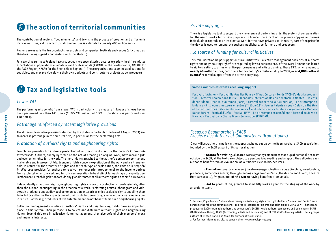## **The action of territorial communities**

The contribution of regions, "départements" and towns in the process of creation and diffusion is increasing. Thus, aid from territorial communities is estimated at nearly 400 million euros.

Regions are usually the first contacts for artists and companies, festivals and venues (city theatres, theatres having signed a convention with the State...).

For several years, most Regions have also set up more specialized structures to satisfy the differentiated expectations of populations of amateurs and professionals (ARCADI for the Île-de-France, ARCADE for the PACA Region, NACRe for the Rhône Alpes Region...). These organizations examine applications for subsidies, and may provide aid via their own budgets and contribute to projects as co-producers.

### **Tax and legislative tools**

### *Lower VAT*

The performing arts benefit from a lower VAT, in particular with a measure in favour of shows having been performed less than 141 times (2.10% VAT instead of 5.5% if the show was performed over 140 times).

### *Patronage reinforced by recent legislative provisions*

The different legislative provisions decided by the State (in particular the law of 1 August 2003) aim to increase patronage in the cultural field, in particular for the performing arts.

### *Protection of authors' rights and neighbouring rights*

140 times).<br>
Patronage reinforced I<br>
The different legislative provisio<br>
to increase patronage in the cul-<br>
Protection of authors'<br>
French law provides for a stron<br>
Intellectuelle. Authors, simply by<br>
and economic rights f French law provides for a strong protection of authors' rights, set by the *Code de la Propriété Intellectuelle*. Authors, simply by virtue of the act of creating an original work, have moral rights and economic rights for the work. The moral rights attached to the author's person are permanent, inalienable and imprescriptible. Economic rights concern exploitation of the work and are transferable. In return for the transfer of rights and for each type of exploitation, the *Code de la Propriété Intellectuelle* provides for authors to receive remuneration proportional to the income derived from exploitation of the work and for this remuneration to be distinct for each type of exploitation. Furthermore, French legislation forbids any global transfer of all authors' rights on their future works.

Independently of authors' rights, neighbouring rights ensure the protection of professionals, other than the author, participating in the creation of a work. Performing artists, phonogram and videograph producers and audiovisual communication enterprises enjoy exclusive rights enabling them to forbid or authorize the exploitation of their contribution or programme and receive remuneration in return. Conversely, producers of live entertainment do not benefit from such neighbouring rights.

Collective management societies of authors' rights and neighbouring rights have an important place in this system. Their purpose is to collect and distribute authors' rights and neighbouring rights. Beyond this role in collective rights management, they also defend their members' moral and financial interests.

### *Private copying...*

There is a legislative tool to support the whole range of performing arts: the system of compensation for the use of works for private purposes. In France, the exception for private copying authorizes individuals to reproduce an intellectual work for their own private use. In return, part of the price for the device is used to remunerate authors, publishers, performers and producers.

### *...a source of funding for cultural initiatives*

This remuneration helps support cultural initiatives. Collective management societies of authors' rights and neighbouring rights $^1$  are required by law to dedicate 25% of the overall amount collected to aid to creation, to diffusion of live performances and artists training. These 25%, which amount to **nearly 40 million euros,** contribute to the country's artistic vitality. In 2006, **over 4,000 cultural events2** received support from the private copy levy.

#### **Some examples of events receiving support...**

Festival of Avignon – Festival Montpellier Danse – Nîmes Culture - Fonds SACD d'aide à la production – Festival Chalon dans la rue - Biennales internationales du spectacle à Nantes - Talents danse Adami - Festival d'automne (Paris) – Festival des arts de la rue (Aurillac) - Le printemps de la danse - Prix jeunes metteurs en scène (Théâtre 13) - Jeunes talents cirque - Salon du Théâtre et de l'édition théâtrale (Saint-Germain) - À mots découverts - Écritures vagabondes - Monaco Danse Forum - Festival d'Uzès - Festival NAVA - Le printemps des comédiens – Festival de Jazz de Marciac – Festival de la Chaise Dieu – Génération SPEDIDAM...

#### *Focus on Beaumarchais-SACD (Société des Auteurs et Compositeurs Dramatiques)*

 Clearly illustrating this policy is the support scheme set up by the Beaumarchais-SACD association, founded by the SACD as part of its cultural action:

• **Grants for writing**, allocated twice a year by committees made up of personalities from outside the SACD; all the texts are subject to a personalized reading and a report, thus allowing each author to benefit from an evaluation, an outsider's view on his/her work.

• **Promotion** towards managers (theatre managers, festivals, stage directors, broadcasters, producers, sometimes actors) through readings organized in Paris (Théâtre du Rond Point, Théâtre Montparnasse...), Avignon, etc**, of the works** having benefited from an aid.

• **Aid to production**, granted to some fifty works a year for the staging of the work by an artistic team.

2. For further information, please consult the site www.copieprivee.org

**CULTURAL POLICIES IN FRANCE<br>
CULTURAL POLICIES IN THE MANUS AND SERVICE TO A THE MORE THE MANUS PROPERTION THE MANUS PROPERTION THE MANUS PROPERTION SUPPLY (The Star Super Deliverium an aid.<br>
And are port, thus allowing e** 1. Sorecop, Copie France, Sofia and Ava manage private copy rights for rights holders. Sorecop and Copie France comprise the following organizations: Procirep (Producers for cinema and television); SCPP & SPPF (Phonogram producers); SACD (Dramatic authors and composers); SACEM (Music authors, composers and publishers); SCAM (Multimedia authors); ADAMI (Performing artists and musicians) and SPEDIDAM (Performing artists). Sofia groups authors of written works and Ava is for authors of visual works.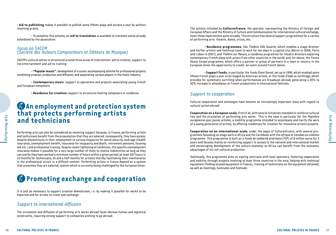• **Aid to publishing** makes it possible to publish some fifteen plays and scripts a year by authors receiving grants.

• To complete this scheme, an **aid to translation** is available to translate works already subsidized by the association.

### *Focus on SACEM (Société des Auteurs Compositeurs et Éditeurs de Musique)*

SACEM's cultural action is structured around three areas of intervention: aid to creation, support to live entertainment and aid to training.

•**"Popular music"**: development of a career accompanying scheme for professional projects combining creation, production and diffusion, and associating various players in the music industry.

• **Contemporary music**: support to operations and projects associating young French and European composers.

• **Residence for creation:** support to structures hosting composers in residence.

### **An employment and protection system that protects performing artists and technicians**

**EXAMPLE PERIOD CONTROLLED STATES CONTROLLED SUBMONITERRAMCED PERIOD AND AND AND AND IN INSURAL POLICIES IN FRANCE SUBMONITERRAMCED CONTROLLED IN FRANCE SUBMONITERRAMCED TO MOTHER SUBMONITERRAMCED AND AN INSURAL POLICIES I** Performing arts can also be considered as receiving support because, in France, performing artists and technicians benefit from the presumption that they are salaried: consequently, they have access, despite discontinuity in their employment to various measures for social security coverage (health insurance, unemployment benefit, insurance for incapacity and death, retirement pensions, housing aid, etc.) and professional training. Despite recent tightening of conditions, this specific unemployment insurance makes it possible for a very large number of them to receive indemnities as long as they can justify they have worked a minimum number of hours within a given period (at least 507 hours in 10 months for technicians, 10 and a half months for artists) thereby facilitating their maintenance in the professional circuit in a difficult context. Performing artists in France depend on a system that presumes they are salaried, system which is currently being challenged by the European Union.

### **Promoting exchange and cooperation**

It is just as necessary to support creation downstream, i.e. by making it possible for works to be exported and for artists to travel and exchange.

### *Support to international diffusion*

The circulation and diffusion of performing arts works abroad faces obvious human and logistical constraints, requiring strong support to companies wishing to go abroad.

The actions initiated by **Culturesfrance**, the operator representing the Ministry of Foreign and European Affairs and the Ministry of Culture and Communication for international cultural exchange, meet these expectations quite broadly. This structure has several support programmes for a variety of performing arts: theatre, dance, circus, etc.

• **Residence programmes**, like *Théâtre Ville Ouverte*, which enables a stage director and his/her artistic and technical team to work for ten days in a capital city (Beirut in 2006, Porto and Lisbon in 2007); and *Théâtre sur Mesure*, a residence programme for theatre directors exploring contemporary French plays with actors from other countries in the world; and, for dance, the *France Danse Europe* programme, which offers a partner or group of partners in a town or country in the European Union the opportunity to create an event around French dance.

• **Support funds**, in particular the *Fonds Étant Donné*, set up in 1999, which enabled some fifteen French plays a year to be staged by American artists, or the *Fonds d'aide au surtitrage*, which provides for systematic surtitling when performances are broadcast abroad, generating a 20% to 30% increase in attendance at French productions in international festivals.

### *Support to cooperation*

Cultural cooperation and exchanges have become an increasingly important issue with regard to cultural action abroad.

**Cooperation on a European scale**, first of all, with several initiatives intended to reinforce cultural ties and the circulation of performing arts works . This is the case in particular for the *Pépinière européenne pour jeunes artistes*, a mobility programme intended to accompany and clarify the work of a young generation of artists, by offering residences for creation for innovative artistic projects.

Example the Pepinière<br>
accompany and clarify the work<br>
in for innovative artistic projects.<br>
Lituresfrance, with several pro-<br>
che Afrique et Caraïbes en création<br>
caire (FSP) of 8 million euros for 3<br>
ational and internat **Cooperation on an international scale**, under the aegis of Culturesfrance, with several programmes focussing on stage work in Africa and the Caribbean with the *Afrique et Caraïbes en création* programme. This programme is built on a *Fonds de solidarité prioritaire* (FSP) of 8 million euros for 3 years and focuses mainly on reinforcing support to access to the national and international market and encouraging development of the culture economy so Africa can benefit from the economic advantages of its rich cultural production.

Technically, this programme aims at signing contracts with local operators, fostering cooperation and mobility through projects involving at least three countries in the area, helping with technical equipment (finding unused equipment in France), training of technicians on the equipment obtained, as well as meetings, biennales and festivals.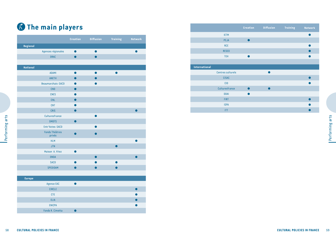## **The main players**

|                 |                                 | <b>Creation</b> | <b>Diffusion</b> | <b>Training</b> | Network   |
|-----------------|---------------------------------|-----------------|------------------|-----------------|-----------|
| Regional        |                                 |                 |                  |                 |           |
|                 | Agences régionales              | $\bullet$       | $\bullet$        |                 | $\bullet$ |
|                 | <b>DRAC</b>                     | $\bullet$       | $\bullet$        |                 |           |
|                 |                                 |                 |                  |                 |           |
| <b>National</b> |                                 |                 |                  |                 |           |
|                 | <b>ADAMI</b>                    | $\bullet$       | $\bullet$        | $\bullet$       |           |
|                 | <b>ANETH</b>                    | $\bullet$       | ●                |                 |           |
|                 | Beaumarchais-SACD               | 0               |                  |                 |           |
|                 | <b>CND</b>                      | $\bullet$       |                  |                 |           |
|                 | <b>CNES</b>                     | ●               |                  |                 |           |
|                 | <b>CNL</b>                      | $\bullet$       |                  |                 |           |
|                 | <b>CNT</b>                      |                 |                  |                 |           |
|                 | <b>CRIS</b>                     | $\bullet$       |                  |                 | $\bullet$ |
|                 | Culturesfrance                  |                 |                  |                 |           |
|                 | <b>DMDTS</b>                    | $\bullet$       |                  |                 |           |
|                 | Entr'Actes-SACD                 |                 |                  |                 |           |
|                 | <b>Fonds Théâtres</b><br>privés | $\bullet$       |                  |                 |           |
|                 | <b>HLM</b>                      |                 |                  |                 |           |
|                 | <b>JTN</b>                      |                 |                  | $\bullet$       |           |
|                 | Maison A. Vitez                 | $\bullet$       |                  |                 |           |
|                 | <b>ONDA</b>                     |                 | $\bullet$        |                 | ●         |
|                 | <b>SACD</b>                     | $\bullet$       |                  |                 |           |
|                 | SPEDIDAM                        | $\bullet$       | $\bullet$        | $\bullet$       |           |
| <b>Europe</b>   |                                 |                 |                  |                 |           |
|                 | <b>Agence EAC</b>               | $\bullet$       |                  |                 |           |
|                 | <b>CIRCLE</b>                   |                 |                  |                 | $\bullet$ |
|                 | <b>CTE</b>                      |                 |                  |                 |           |
|                 | <b>ELIA</b>                     |                 |                  |                 |           |
|                 | <b>ENICPA</b>                   |                 |                  |                 |           |
|                 |                                 | $\bullet$       |                  |                 |           |

|                   | <b>Creation</b> | <b>Diffusion</b> | <b>Training</b> | <b>Network</b> |
|-------------------|-----------------|------------------|-----------------|----------------|
| <b>IETM</b>       |                 |                  |                 |                |
| PEJA              | ۰               |                  |                 |                |
| <b>RCE</b>        |                 |                  |                 |                |
| <b>RESEO</b>      |                 |                  |                 |                |
| <b>TEH</b>        | o               |                  |                 |                |
|                   |                 |                  |                 |                |
| International     |                 |                  |                 |                |
| Centres culturels |                 |                  |                 |                |
| <b>CISAC</b>      |                 |                  |                 |                |
| <b>CID</b>        |                 |                  |                 |                |
| Culturesfrance    | $\blacksquare$  |                  |                 |                |
| <b>DDAI</b>       | ●               |                  |                 |                |
| <b>FIRT</b>       |                 |                  |                 |                |
| <b>ISPA</b>       |                 |                  |                 |                |
| <b>ITT</b>        |                 |                  |                 |                |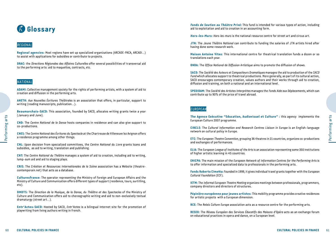## **Glossary**

### *Regional*

**Regional agencies:** Most regions have set up specialized organizations (ARCADE-PACA, ARCADI...) to assist with applications for subsidies or contribute to projects.

**DRAC:** the *Directions Régionales des Affaires Culturelles* offer several possibilities of transversal aid to the performing arts: aid to maquettes, contracts, etc.

#### *National*

**ADAMI:** Collective management society for the rights of performing artists, with a system of aid to creation and diffusion in the performing arts.

**ANETH:** *Aux Nouvelles Écritures Théâtrales* is an association that offers, in particular, support to writing (reading manuscripts, publication...).

**Beaumarchais-SACD:** This association, founded by SACD, allocates writing grants twice a year (January and June).

**CND:** The *Centre National de la Danse* hosts companies in residence and can also give support to co-productions.

**CNES:** The *Centre National des Écritures du Spectacle* at the Chartreuse de Villeneuve lez Avignon offers a residence programme among other things.

**CNL:** Upon decision from specialized committees, the *Centre National du Livre* grants loans and subsidies, as aid to writing, translation and publishing.

**CNT:** The *Centre National du Théâtre* manages a system of aid to creation, including aid to writing, lump-sum aid and aid to staging plays.

**CRIS:** The *Création et Ressources Internationales de la Scène* association has a Website (theatrecontemporain.net) that acts as a database.

**COLUTURAL POLICIES IN FRANCE**<br>
COLUTURAL POLICIES IN FRANCE<br>
COLUTURAL POLICIES IN FRANCE<br>
COLUTURAL POLICIES IN FRANCE<br>
COLUTURAL POLICIES IN FRANCE<br>
COLUTURAL POLICIES IN FRANCE<br>
COLUTURAL POLICIES IN FRANCE<br>
COLUTURAL **Culturesfrance:** The operator representing the Ministry of Foreign and European Affairs and the Ministry of Culture and Communication offers different types of support (residence, tours, surtitling, etc).

**DMDTS:** The *Direction de la Musique, de la Danse, du Théâtre et des Spectacles* of the Ministry of Culture and Communication offers aid to choreographic writing and aid to non-exclusively textual dramaturgy (street art...).

**Entr'Actes-SACD:** Hosted by SACD, *Entr'Actes* is a bilingual Internet site for the promotion of playwriting from living authors writing in French.

**Fonds de Soutien au Théâtre Privé:** This fund is intended for various types of action, including aid to exploitation and aid to creation in an accounting form.

**Hors-les-Murs:** *Hors-les-murs* is the national resource centre for street art and circus art.

**JTN:** The *Jeune Théâtre National* can contribute to funding the salaries of JTN artists hired after having done some research work.

**Maison Antoine Vitez:** This international centre for theatrical translation funds a dozen or so translations each year.

**ONDA:** The *Office National de Diffusion Artistique* aims to promote the diffusion of shows.

**SACD:** The *Société des Auteurs et Compositeurs Dramatiques* manages the aid to production of the *SACD Fund* which allocates support to theatrical productions. More generally, as part of its cultural action, SACD encourages contemporary creation, values authors and their works through aid to creation, diffusion and training, on both a national and an international level.

**SPEDIDAM:** The *Société des Artistes Interprètes* manages the *Fonds Aide aux Déplacements*, which can contribute up to 90% of the price of travel abroad.

#### *European*

**The Agence Exécutive "Education, Audiovisuel et Culture" :** this agency implements the European Culture 2007 programme.

**CIRCLE:** The *Cultural Information and Research Centres Liaison in Europe* is an English-language network on cultural policy in Europe.

**ETC:** The *European Theatre Convention*, grouping 36 theatres in 21 countries, organizes co-productions and exchanges of performances.

**ELIA:** The *European League of Institutes of the Arts* is an association representing some 350 institutions of higher artistic learning in 45 countries.

**ENICPA:** The main mission of the *European Network of Information Centres for the Performing Arts* is to offer information and specialized data to professionals in the performing arts.

**CULTURAL POLICIES IN FRANCE<br>
CULTURAL POLICIES IN FRANCE**<br>
CULTURAL POLICIES IN FRANCE<br>
CULTURAL POLICIES IN FRANCE<br>
CULTURAL POLICIES IN FRANCE<br>
CULTURAL POLICIES IN FRANCE<br>
61 **Fonds Roberto Cimetta:** Founded in 1999, it gives individual travel grants together with the *European Cultural Foundation* (ECF).

**IETM:** The *Informal European Theatre Meeting* organizes meetings between professionals, programmers, company directors and directors of structures.

**Pépinière européenne pour jeunes artistes:** This mobility programme provides creative residences for artistic projects with a European dimension.

**RCE:** The *Relais Culture Europe* association acts as a resource centre for the performing arts.

**RESEO:** The *Réseau Européen des Services Éducatifs des Maisons d'Opéra* acts as an exchange forum on educational practices in opera and dance, on a European level.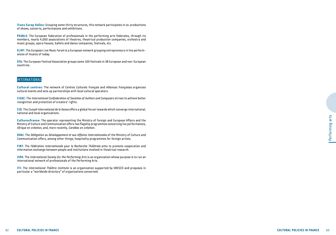**Trans Europ Halles:** Grouping some thirty structures, this network participates in co-productions of shows, concerts, performances and exhibitions.

**PEARLE:** The European federation of professionals in the performing arts federates, through its members, nearly 4,000 associations of theatres, theatrical production companies, orchestra and music groups, opera houses, ballets and dance companies, festivals, etc.

**ELMF:** The *European Live Music Forum* is a European network grouping entrepreneurs in live performances of musics of today.

**EFA:** The European Festival Association groups some 100 festivals in 38 European and non-European countries.

#### *International*

**Cultural centres:** The network of *Centres Culturels Français* and *Alliances Françaises* organizes cultural events and sets up partnerships with local cultural operators.

**CISAC:** The *International Confederation of Societies of Authors and Composers* strives to achieve better recognition and protection of creators' rights.

**CID:** The *Conseil International de la Danse* offers a global forum towards which converge international, national and local organizations.

Cultures of columns and proposal regresses the New Seignith of contain out Scheme and Kunstane Millet and the columns and increase and Kunstane Millet and the columns are columns are columns are columns are columns are co **Culturesfrance:** The operator representing the Ministry of Foreign and European Affairs and the Ministry of Culture and Communication offers two flagship programmes concerning live performances, *Afrique en création*, and, more recently, *Caraïbes en création.*

**DDAI:** The *Délégation au Développement et aux Affaires Internationales* of the Ministry of Culture and Communication offers, among other things, hospitality programmes for foreign artists.

**FIRT:** The *Fédération Internationale pour la Recherche Théâtrale* aims to promote cooperation and information exchange between people and institutions involved in theatrical research.

**ISPA:** The *International Society for the Performing Arts* is an organization whose purpose is to run an international network of professionals of the Performing Arts.

**ITI:** The *International Théâtre Institute* is an organization supported by UNESCO and proposes in particular a "worldwide directory" of organizations concerned.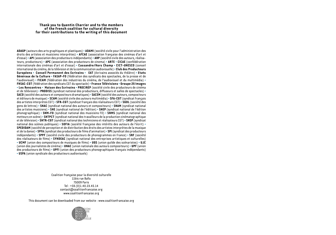#### **Thank you to Quentin Charrier and to the members of the French coalition for cultural diversity for their contributions to the writing of this document**

**ADAGP** (auteurs des arts graphiques et plastiques) • **ADAMI** (société civile pour l'administration des droits des artistes et musiciens interprètes) • **AFCAE** (association française des cinémas d'art et d'essai) • **API** (association des producteurs indépendants) • **ARP** (société civile des auteurs, réalisateurs, producteurs) • **APC** (association des producteurs de cinema) • **ARTE** • **CICAE** (confédération internationale des cinémas d'art et d'essai) • **Cassandre/Hors Champ** • **CICT-UNESCO** (conseil international du cinéma, de la télévision et de la communication audiovisuelle) • **Club des Producteurs Européens** • **Conseil Permanent des Ecrivains** • **EAT** (écrivains associés du théâtre) • **Etats Généraux de la Culture** • **FASAP-FO** (fédération des syndicats des spectacles, de la presse et de l'audiovisuel) • **FICAM** (fédération des industries du cinéma, de l'audiovisuel et du multimédia) • **FNSAC-CGT** (fédération des syndicats CGT du spectacle) • **France Télévisions** • **Groupe 25 Images** • **Les Rencontres** • **Maison des Ecrivains** • **PROCIREP** (société civile des producteurs de cinéma et de télévision) • **PRODISS** (syndicat national des producteurs, diffuseurs et salles de spectacles) • **SACD** (société des auteurs et compositeurs dramatiques) • **SACEM** (société des auteurs, compositeurs et éditeurs de musique) • **SCAM** (société civile des auteurs multimédia) • **SFA-CGT** (syndicat français des artistes interprètes CGT) • **SFR-CGT** (syndicat français des réalisateurs CGT) • **SGDL** (société des gens de lettres) • **SNAC** (syndicat national des auteurs et compositeurs) • **SNAM** (syndicat national des artistes musiciens) • **SNE** (syndicat national de l'édition) • **SNEP** (syndicat national de l'édition phonographique) • **SNM-FO** (syndicat national des musiciens FO) • **SNMS** (syndicat national des metteurs en scène) • **SNTPCT** (syndicat national des travailleurs de la production cinématographique et de télévision) • **SNTR-CGT** (syndicat national des techniciens et réalisateurs CGT) • **SNSP** (syndicat national des scènes publiques) • **SOFIA** (société française des intérêts des auteurs de l'écrit) • **SPEDIDAM** (société de perception et de distribution des droits des artistes interprètes de la musique et de la danse) • **SPFA** (syndicat des producteurs de fi lms d'animation) • **SPI** (syndicat des producteurs indépendants) • **SPPF** (société civile des producteurs de phonogrammes en France) • **SRF** (société des réalisateurs de films) • **SYNDEAC** (syndicat national des entreprises artistiques et culturelles) • **UCMF** (union des compositeurs de musiques de fi lms) • **UGS** (union guilde des scénaristes) • **UJC**  (union des journalistes de cinéma) • **UNAC** (union nationale des auteurs compositeurs) • **UPF** (union des producteurs de films) • **UPFI** (union des producteurs phonographiques français indépendants) • **USPA** (union syndicale des producteurs audiovisuels)

> Coalition française pour la diversité culturelle 11bis rue Ballu 75009 Paris Tel : +33.(0)1.40.23.45.14 contact@coalitionfrancaise.org www.coalitionfrancaise.org

This document can be downloaded from our website : www.coalitionfrancaise.org